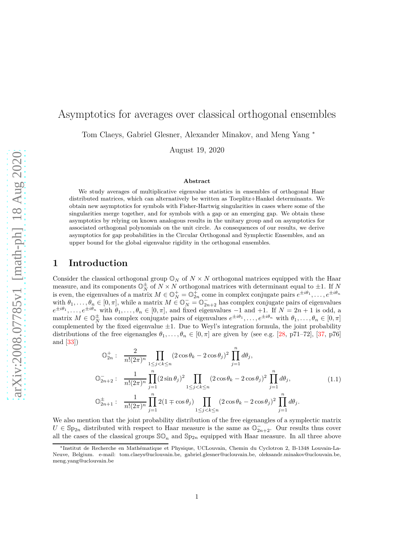# Asymptotics for averages over classical orthogonal ensembles

Tom Claeys, Gabriel Glesner, Alexander Minakov, and Meng Yang <sup>∗</sup>

August 19, 2020

#### **Abstract**

We study averages of multiplicative eigenvalue statistics in ensembles of orthogonal Haar distributed matrices, which can alternatively be written as Toeplitz+Hankel determinants. We obtain new asymptotics for symbols with Fisher-Hartwig singularities in cases where some of the singularities merge together, and for symbols with a gap or an emerging gap. We obtain these asymptotics by relying on known analogous results in the unitary group and on asymptotics for associated orthogonal polynomials on the unit circle. As consequences of our results, we derive asymptotics for gap probabilities in the Circular Orthogonal and Symplectic Ensembles, and an upper bound for the global eigenvalue rigidity in the orthogonal ensembles.

### **1 Introduction**

Consider the classical orthogonal group  $\mathbb{O}_N$  of  $N \times N$  orthogonal matrices equipped with the Haar measure, and its components  $\mathbb{O}_N^{\pm}$  of  $N \times N$  orthogonal matrices with determinant equal to  $\pm 1$ . If *N* is even, the eigenvalues of a matrix  $M \in \mathbb{O}_N^+ = \mathbb{O}_{2n}^+$  come in complex conjugate pairs  $e^{\pm i\theta_1}, \ldots, e^{\pm i\theta_n}$ with  $\theta_1, \ldots, \theta_n \in [0, \pi]$ , while a matrix  $M \in \mathbb{O}_N^- = \mathbb{O}_{2n+2}^-$  has complex conjugate pairs of eigenvalues  $e^{\pm i\theta_1}, \ldots, e^{\pm i\theta_n}$  with  $\theta_1, \ldots, \theta_n \in [0, \pi]$ , and fixed eigenvalues  $-1$  and  $+1$ . If  $N = 2n + 1$  is odd, a matrix  $M \in \mathbb{O}_N^{\pm}$  has complex conjugate pairs of eigenvalues  $e^{\pm i\theta_1}, \ldots, e^{\pm i\theta_n}$  with  $\theta_1, \ldots, \theta_n \in [0, \pi]$ complemented by the fixed eigenvalue  $\pm 1$ . Due to Weyl's integration formula, the joint probability distributions of the free eigenangles  $\theta_1, \ldots, \theta_n \in [0, \pi]$  are given by (see e.g. [\[28,](#page-32-0) p71–72], [\[37,](#page-32-1) p76] and [\[33\]](#page-32-2))

<span id="page-0-0"></span>
$$
\mathbb{O}_{2n}^+ : \frac{2}{n!(2\pi)^n} \prod_{1 \le j < k \le n} (2\cos\theta_k - 2\cos\theta_j)^2 \prod_{j=1}^n d\theta_j,
$$
\n
$$
\mathbb{O}_{2n+2}^- : \frac{1}{n!(2\pi)^n} \prod_{j=1}^n (2\sin\theta_j)^2 \prod_{1 \le j < k \le n} (2\cos\theta_k - 2\cos\theta_j)^2 \prod_{j=1}^n d\theta_j,
$$
\n
$$
\mathbb{O}_{2n+1}^+ : \frac{1}{n!(2\pi)^n} \prod_{j=1}^n 2(1 \mp \cos\theta_j) \prod_{1 \le j < k \le n} (2\cos\theta_k - 2\cos\theta_j)^2 \prod_{j=1}^n d\theta_j.
$$
\n(1.1)

We also mention that the joint probability distribution of the free eigenangles of a symplectic matrix  $U \in \mathbb{S}_{p_{2n}}$  distributed with respect to Haar measure is the same as  $\mathbb{O}_{2n+2}^-$ . Our results thus cover all the cases of the classical groups  $\mathcal{SO}_n$  and  $\mathcal{Sp}_{2n}$  equipped with Haar measure. In all three above

<sup>∗</sup>Institut de Recherche en Math´ematique et Physique, UCLouvain, Chemin du Cyclotron 2, B-1348 Louvain-La-Neuve, Belgium. e-mail: tom.claeys@uclouvain.be, gabriel.glesner@uclouvain.be, oleksandr.minakov@uclouvain.be, meng.yang@uclouvain.be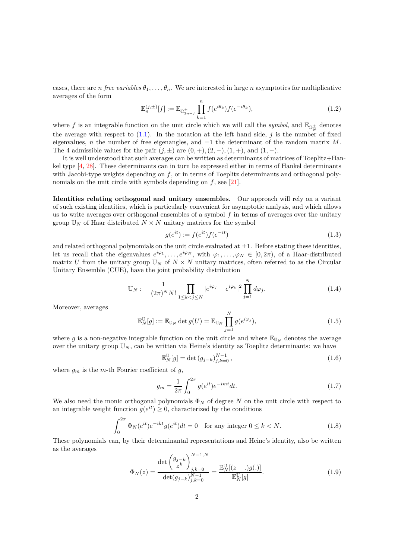cases, there are *n free variables*  $\theta_1, \ldots, \theta_n$ . We are interested in large *n* asymptotics for multiplicative averages of the form

<span id="page-1-3"></span>
$$
\mathbb{E}_n^{(j,\pm)}[f] := \mathbb{E}_{\mathbb{O}_{2n+j}^{\pm}} \prod_{k=1}^n f(e^{i\theta_k}) f(e^{-i\theta_k}),
$$
\n(1.2)

where f is an integrable function on the unit circle which we will call the *symbol*, and  $\mathbb{E}_{\mathbb{Q}^{\pm}}$  denotes the average with respect to [\(1.1\)](#page-0-0). In the notation at the left hand side, *j* is the number of fixed eigenvalues, *n* the number of free eigenangles, and  $\pm 1$  the determinant of the random matrix M. The 4 admissible values for the pair  $(j, \pm)$  are  $(0, +)$ ,  $(2, -)$ ,  $(1, +)$ , and  $(1, -)$ .

It is well understood that such averages can be written as determinants of matrices of Toeplitz+Hankel type [\[4,](#page-30-0) [28\]](#page-32-0). These determinants can in turn be expressed either in terms of Hankel determinants with Jacobi-type weights depending on f, or in terms of Toeplitz determinants and orthogonal polynomials on the unit circle with symbols depending on *f*, see [\[21\]](#page-31-0).

**Identities relating orthogonal and unitary ensembles.** Our approach will rely on a variant of such existing identities, which is particularly convenient for asymptotic analysis, and which allows us to write averages over orthogonal ensembles of a symbol *f* in terms of averages over the unitary group  $\mathbb{U}_N$  of Haar distributed  $N \times N$  unitary matrices for the symbol

<span id="page-1-0"></span>
$$
g(e^{it}) := f(e^{it})f(e^{-it})
$$
\n
$$
(1.3)
$$

and related orthogonal polynomials on the unit circle evaluated at  $\pm 1$ . Before stating these identities, let us recall that the eigenvalues  $e^{i\varphi_1}, \ldots, e^{i\varphi_N}$ , with  $\varphi_1, \ldots, \varphi_N \in [0, 2\pi)$ , of a Haar-distributed matrix *U* from the unitary group  $\mathbb{U}_N$  of  $N \times N$  unitary matrices, often referred to as the Circular Unitary Ensemble (CUE), have the joint probability distribution

<span id="page-1-4"></span>
$$
\mathbb{U}_N: \quad \frac{1}{(2\pi)^N N!} \prod_{1 \le k < j \le N} |e^{i\varphi_j} - e^{i\varphi_k}|^2 \prod_{j=1}^N d\varphi_j. \tag{1.4}
$$

Moreover, averages

<span id="page-1-1"></span>
$$
\mathbb{E}_N^{\mathbb{U}}[g] := \mathbb{E}_{\mathbb{U}_N} \det g(U) = \mathbb{E}_{\mathbb{U}_N} \prod_{j=1}^N g(e^{i\varphi_j}), \qquad (1.5)
$$

where g is a non-negative integrable function on the unit circle and where  $\mathbb{E}_{\mathbb{U}_N}$  denotes the average over the unitary group  $\mathbb{U}_N$ , can be written via Heine's identity as Toeplitz determinants: we have

<span id="page-1-2"></span>
$$
\mathbb{E}_N^{\mathbb{U}}[g] = \det (g_{j-k})_{j,k=0}^{N-1},
$$
\n(1.6)

where  $g_m$  is the *m*-th Fourier coefficient of *g*,

<span id="page-1-5"></span>
$$
g_m = \frac{1}{2\pi} \int_0^{2\pi} g(e^{it}) e^{-imt} dt.
$$
 (1.7)

We also need the monic orthogonal polynomials  $\Phi_N$  of degree *N* on the unit circle with respect to an integrable weight function  $g(e^{it}) \geq 0$ , characterized by the conditions

<span id="page-1-7"></span>
$$
\int_0^{2\pi} \Phi_N(e^{it}) e^{-ikt} g(e^{it}) dt = 0 \quad \text{for any integer } 0 \le k < N. \tag{1.8}
$$

These polynomials can, by their determinantal representations and Heine's identity, also be written as the averages

<span id="page-1-6"></span>
$$
\Phi_N(z) = \frac{\det \begin{pmatrix} g_{j-k} \\ z^k \end{pmatrix}_{j,k=0}^{N-1,N}}{\det(g_{j-k})_{j,k=0}^{N-1}} = \frac{\mathbb{E}_N^{\mathbb{U}}[(z-\cdot)g(\cdot)]}{\mathbb{E}_N^{\mathbb{U}}[g]}.
$$
(1.9)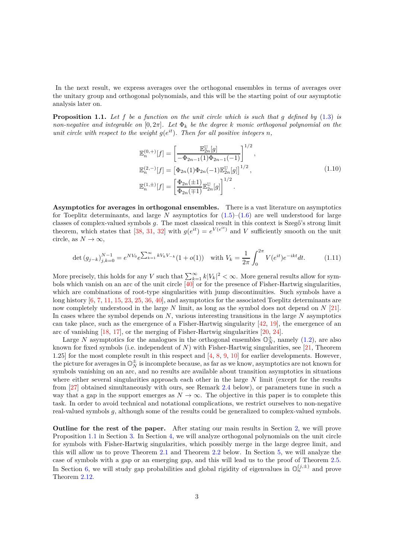In the next result, we express averages over the orthogonal ensembles in terms of averages over the unitary group and orthogonal polynomials, and this will be the starting point of our asymptotic analysis later on.

<span id="page-2-0"></span>**Proposition 1.1.** *Let f be a function on the unit circle which is such that g defined by* [\(1.3\)](#page-1-0) *is non-negative and integrable on*  $[0, 2\pi]$ *. Let*  $\Phi_k$  *be the degree k monic orthogonal polynomial on the unit circle with respect to the weight*  $g(e^{it})$ *. Then for all positive integers n*,

$$
\mathbb{E}_{n}^{(0,+)}[f] = \left[\frac{\mathbb{E}_{2n}^{\mathbb{U}}[g]}{-\Phi_{2n-1}(1)\Phi_{2n-1}(-1)}\right]^{1/2}, \n\mathbb{E}_{n}^{(2,-)}[f] = \left[\Phi_{2n}(1)\Phi_{2n}(-1)\mathbb{E}_{2n}^{\mathbb{U}}[g]\right]^{1/2}, \n\mathbb{E}_{n}^{(1,\pm)}[f] = \left[\frac{\Phi_{2n}(\pm 1)}{\Phi_{2n}(\mp 1)}\mathbb{E}_{2n}^{\mathbb{U}}[g]\right]^{1/2}.
$$
\n(1.10)

**Asymptotics for averages in orthogonal ensembles.** There is a vast literature on asymptotics for Toeplitz determinants, and large  $N$  asymptotics for  $(1.5)$ – $(1.6)$  are well understood for large classes of complex-valued symbols *q*. The most classical result in this context is Szegő's strong limit theorem, which states that [\[38,](#page-32-3) [31,](#page-32-4) [32\]](#page-32-5) with  $g(e^{it}) = e^{V(e^{it})}$  and *V* sufficiently smooth on the unit circle, as  $N \to \infty$ ,

$$
\det (g_{j-k})_{j,k=0}^{N-1} = e^{NV_0} e^{\sum_{k=1}^{\infty} kV_k V_{-k}} (1 + o(1)) \quad \text{with } V_k = \frac{1}{2\pi} \int_0^{2\pi} V(e^{it}) e^{-ikt} dt. \tag{1.11}
$$

More precisely, this holds for any *V* such that  $\sum_{k=1}^{\infty} k|V_k|^2 < \infty$ . More general results allow for symbols which vanish on an arc of the unit circle [\[40\]](#page-32-6) or for the presence of Fisher-Hartwig singularities, which are combinations of root-type singularities with jump discontinuities. Such symbols have a long history [\[6,](#page-30-1) [7,](#page-30-2) [11,](#page-31-1) [15,](#page-31-2) [23,](#page-31-3) [25,](#page-31-4) [36,](#page-32-7) [40\]](#page-32-6), and asymptotics for the associated Toeplitz determinants are now completely understood in the large *N* limit, as long as the symbol does not depend on *N* [\[21\]](#page-31-0). In cases where the symbol depends on *N*, various interesting transitions in the large *N* asymptotics can take place, such as the emergence of a Fisher-Hartwig singularity  $[42, 19]$  $[42, 19]$ , the emergence of an arc of vanishing [\[18,](#page-31-6) [17\]](#page-31-7), or the merging of Fisher-Hartwig singularities [\[20,](#page-31-8) [24\]](#page-31-9).

Large *N* asymptotics for the analogues in the orthogonal ensembles  $\mathbb{O}_N^{\pm}$ , namely [\(1.2\)](#page-1-3), are also known for fixed symbols (i.e. independent of *N*) with Fisher-Hartwig singularities, see [\[21,](#page-31-0) Theorem 1.25] for the most complete result in this respect and  $[4, 8, 9, 10]$  $[4, 8, 9, 10]$  $[4, 8, 9, 10]$  $[4, 8, 9, 10]$  $[4, 8, 9, 10]$  $[4, 8, 9, 10]$  for earlier developments. However, the picture for averages in  $\mathbb{O}_N^{\pm}$  is incomplete because, as far as we know, asymptotics are not known for symbols vanishing on an arc, and no results are available about transition asymptotics in situations where either several singularities approach each other in the large *N* limit (except for the results from [\[27\]](#page-31-11) obtained simultaneously with ours, see Remark [2.4](#page-5-0) below), or parameters tune in such a way that a gap in the support emerges as  $N \to \infty$ . The objective in this paper is to complete this task. In order to avoid technical and notational complications, we restrict ourselves to non-negative real-valued symbols *g*, although some of the results could be generalized to complex-valued symbols.

**Outline for the rest of the paper.** After stating our main results in Section [2,](#page-3-0) we will prove Proposition [1.1](#page-2-0) in Section [3.](#page-11-0) In Section [4,](#page-12-0) we will analyze orthogonal polynomials on the unit circle for symbols with Fisher-Hartwig singularities, which possibly merge in the large degree limit, and this will allow us to prove Theorem [2.1](#page-4-0) and Theorem [2.2](#page-5-1) below. In Section [5,](#page-20-0) we will analyze the case of symbols with a gap or an emerging gap, and this will lead us to the proof of Theorem [2.5.](#page-6-0) In Section [6,](#page-27-0) we will study gap probabilities and global rigidity of eigenvalues in  $\mathbb{O}_n^{(j,\pm)}$  and prove Theorem [2.12.](#page-10-0)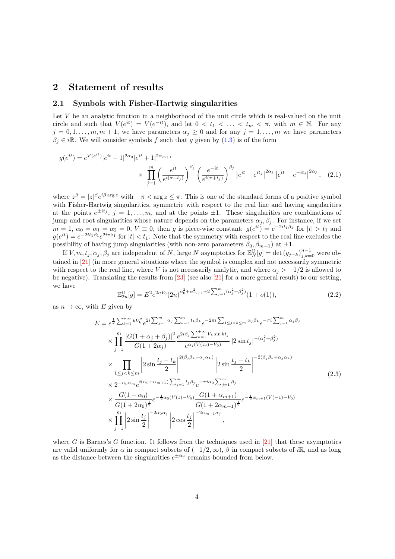### <span id="page-3-0"></span>**2 Statement of results**

#### **2.1 Symbols with Fisher-Hartwig singularities**

Let *V* be an analytic function in a neighborhood of the unit circle which is real-valued on the unit circle and such that  $V(e^{it}) = V(e^{-it})$ , and let  $0 < t_1 < \ldots < t_m < \pi$ , with  $m \in \mathbb{N}$ . For any  $j = 0, 1, \ldots, m, m + 1$ , we have parameters  $\alpha_j \geq 0$  and for any  $j = 1, \ldots, m$  we have parameters  $\beta_i \in i\mathbb{R}$ . We will consider symbols *f* such that *g* given by [\(1.3\)](#page-1-0) is of the form

$$
g(e^{it}) = e^{V(e^{it})}|e^{it} - 1|^{2\alpha_0}|e^{it} + 1|^{2\alpha_{m+1}} \times \prod_{j=1}^{m} \left(\frac{e^{it}}{e^{i(\pi+t_j)}}\right)^{\beta_j} \left(\frac{e^{-it}}{e^{i(\pi+t_j)}}\right)^{\beta_j} |e^{it} - e^{it_j}|^{2\alpha_j} |e^{it} - e^{-it_j}|^{2\alpha_j}, \quad (2.1)
$$

where  $z^{\beta} = |z|^{\beta} e^{i\beta \arg z}$  with  $-\pi < \arg z \leq \pi$ . This is one of the standard forms of a positive symbol with Fisher-Hartwig singularities, symmetric with respect to the real line and having singularities at the points  $e^{\pm it_j}$ ,  $j = 1, \ldots, m$ , and at the points  $\pm 1$ . These singularities are combinations of jump and root singularities whose nature depends on the parameters  $\alpha_j$ ,  $\beta_j$ . For instance, if we set  $m = 1, \ \alpha_0 = \alpha_1 = \alpha_2 = 0, \ V \equiv 0, \text{ then } g \text{ is piece-wise constant: } g(e^{it}) = e^{-2it_1\beta_1} \text{ for } |t| > t_1 \text{ and } g \text{ is the same.}$  $g(e^{it}) = e^{-2it_1\beta_1}e^{2i\pi\beta_1}$  for  $|t| < t_1$ . Note that the symmetry with respect to the real line excludes the possibility of having jump singularities (with non-zero parameters  $\beta_0$ ,  $\beta_{m+1}$ ) at  $\pm 1$ .

If  $V, m, t_j, \alpha_j, \beta_j$  are independent of  $N$ , large  $N$  asymptotics for  $\mathbb{E}_N^{\mathbb{U}}[g] = \det (g_{j-k})_{j,k=0}^{n-1}$  were obtained in [\[21\]](#page-31-0) (in more general situations where the symbol is complex and not necessarily symmetric with respect to the real line, where *V* is not necessarily analytic, and where  $\alpha_j > -1/2$  is allowed to be negative). Translating the results from  $\left[23\right]$  (see also  $\left[21\right]$  for a more general result) to our setting, we have

<span id="page-3-2"></span><span id="page-3-1"></span>
$$
\mathbb{E}_{2n}^{\mathbb{U}}[g] = E^2 e^{2nV_0} (2n)^{\alpha_0^2 + \alpha_{m+1}^2 + 2\sum_{j=1}^m (\alpha_j^2 - \beta_j^2)} (1 + o(1)),\tag{2.2}
$$

as  $n \to \infty$ , with *E* given by

<span id="page-3-3"></span>
$$
E = e^{\frac{1}{2}\sum_{k=1}^{+\infty}kV_{k}^{2}}e^{2i\sum_{j=1}^{m}\alpha_{j}\sum_{k=1}^{m}t_{k}\beta_{k}}e^{-2\pi i\sum_{1\leq j<\leq m}\alpha_{j}\beta_{k}}e^{-\pi i\sum_{j=1}^{m}\alpha_{j}\beta_{j}}
$$
  
\n
$$
\times \prod_{j=1}^{m}\frac{|G(1+\alpha_{j}+\beta_{j})|^{2}}{G(1+2\alpha_{j})}\frac{e^{2i\beta_{j}\sum_{k=1}^{+\infty}V_{k}\sin kt_{j}}{e^{\alpha_{j}(V(z_{j})-V_{0})}}|2\sin t_{j}|^{-(\alpha_{j}^{2}+\beta_{j}^{2})}
$$
  
\n
$$
\times \prod_{1\leq j<\leq k\leq m}\left|2\sin\frac{t_{j}-t_{k}}{2}\right|^{2(\beta_{j}\beta_{k}-\alpha_{j}\alpha_{k})}\left|2\sin\frac{t_{j}+t_{k}}{2}\right|^{-2(\beta_{j}\beta_{k}+\alpha_{j}\alpha_{k})}
$$
  
\n
$$
\times 2^{-\alpha_{0}\alpha_{m}}e^{i(\alpha_{0}+\alpha_{m+1})\sum_{j=1}^{m}t_{j}\beta_{j}}e^{-\pi i\alpha_{0}\sum_{j=1}^{m}\beta_{j}}
$$
  
\n
$$
\times \frac{G(1+\alpha_{0})}{G(1+2\alpha_{0})^{\frac{1}{2}}}e^{-\frac{1}{2}\alpha_{0}(V(1)-V_{0})}\frac{G(1+\alpha_{m+1})}{G(1+2\alpha_{m+1})^{\frac{1}{2}}}e^{-\frac{1}{2}\alpha_{m+1}(V(-1)-V_{0})}
$$
  
\n
$$
\times \prod_{j=1}^{m}\left|2\sin\frac{t_{j}}{2}\right|^{-2\alpha_{0}\alpha_{j}}\left|2\cos\frac{t_{j}}{2}\right|^{-2\alpha_{m+1}\alpha_{j}},
$$

where *G* is Barnes's *G* function. It follows from the techniques used in [\[21\]](#page-31-0) that these asymptotics are valid uniformly for  $\alpha$  in compact subsets of  $(-1/2, \infty)$ ,  $\beta$  in compact subsets of *i*R, and as long as the distance between the singularities  $e^{\pm it_j}$  remains bounded from below.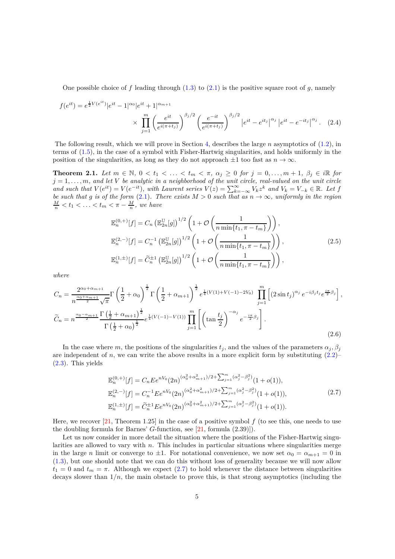One possible choice of  $f$  leading through  $(1.3)$  to  $(2.1)$  is the positive square root of  $g$ , namely

$$
f(e^{it}) = e^{\frac{1}{2}V(e^{it})}|e^{it} - 1|^{\alpha_0}|e^{it} + 1|^{\alpha_{m+1}} \times \prod_{j=1}^{m} \left(\frac{e^{it}}{e^{i(\pi+t_j)}}\right)^{\beta_j/2} \left(\frac{e^{-it}}{e^{i(\pi+t_j)}}\right)^{\beta_j/2}|e^{it} - e^{it_j}|^{\alpha_j}|e^{it} - e^{-it_j}|^{\alpha_j}.
$$
 (2.4)

The following result, which we will prove in Section [4,](#page-12-0) describes the large *n* asymptotics of [\(1.2\)](#page-1-3), in terms of [\(1.5\)](#page-1-1), in the case of a symbol with Fisher-Hartwig singularities, and holds uniformly in the position of the singularities, as long as they do not approach  $\pm 1$  too fast as  $n \to \infty$ .

<span id="page-4-0"></span>**Theorem 2.1.** Let  $m \in \mathbb{N}$ ,  $0 < t_1 < \ldots < t_m < \pi$ ,  $\alpha_j \geq 0$  for  $j = 0, \ldots, m + 1$ ,  $\beta_j \in i\mathbb{R}$  for  $j = 1, \ldots, m$ *, and let*  $V$  *be analytic in a neighborhood of the unit circle, real-valued on the unit circle* and such that  $V(e^{it}) = V(e^{-it})$ , with Laurent series  $V(z) = \sum_{k=-\infty}^{\infty} V_k z^k$  and  $V_k = V_{-k} \in \mathbb{R}$ . Let f be such that g is of the form [\(2.1\)](#page-3-1). There exists  $M > 0$  such that as  $n \to \infty$ , uniformly in the region  $\frac{M}{n} < t_1 < \ldots < t_m < \pi - \frac{M}{n}$ , we have

<span id="page-4-2"></span>
$$
\mathbb{E}_{n}^{(0,+)}[f] = C_{n} \left( \mathbb{E}_{2n}^{\mathbb{U}}[g] \right)^{1/2} \left( 1 + \mathcal{O} \left( \frac{1}{n \min\{t_{1}, \pi - t_{m}\}} \right) \right),
$$
  
\n
$$
\mathbb{E}_{n}^{(2,-)}[f] = C_{n}^{-1} \left( \mathbb{E}_{2n}^{\mathbb{U}}[g] \right)^{1/2} \left( 1 + \mathcal{O} \left( \frac{1}{n \min\{t_{1}, \pi - t_{m}\}} \right) \right),
$$
  
\n
$$
\mathbb{E}_{n}^{(1,\pm)}[f] = \widetilde{C}_{n}^{\pm 1} \left( \mathbb{E}_{2n}^{\mathbb{U}}[g] \right)^{1/2} \left( 1 + \mathcal{O} \left( \frac{1}{n \min\{t_{1}, \pi - t_{m}\}} \right) \right),
$$
\n(2.5)

*where*

<span id="page-4-3"></span>
$$
C_{n} = \frac{2^{\alpha_{0} + \alpha_{m+1}}}{n^{\frac{\alpha_{0} + \alpha_{m+1}}{2}} \sqrt{\pi}} \Gamma\left(\frac{1}{2} + \alpha_{0}\right)^{\frac{1}{2}} \Gamma\left(\frac{1}{2} + \alpha_{m+1}\right)^{\frac{1}{2}} e^{\frac{1}{4}(V(1) + V(-1) - 2V_{0})} \prod_{j=1}^{m} \left[ (2\sin t_{j})^{\alpha_{j}} e^{-i\beta_{j}t_{j}} e^{\frac{i\pi}{2}\beta_{j}} \right],
$$
  

$$
\widetilde{C}_{n} = n^{\frac{\alpha_{0} - \alpha_{m+1}}{2}} \frac{\Gamma\left(\frac{1}{2} + \alpha_{m+1}\right)^{\frac{1}{2}}}{\Gamma\left(\frac{1}{2} + \alpha_{0}\right)^{\frac{1}{2}}} e^{\frac{1}{4}(V(-1) - V(1))} \prod_{j=1}^{m} \left[ \left(\tan \frac{t_{j}}{2}\right)^{-\alpha_{j}} e^{-\frac{i\pi}{2}\beta_{j}} \right].
$$
\n(2.6)

In the case where *m*, the positions of the singularities  $t_j$ , and the values of the parameters  $\alpha_j$ ,  $\beta_j$ are independent of  $n$ , we can write the above results in a more explicit form by substituting  $(2.2)$ [\(2.3\)](#page-3-3). This yields

<span id="page-4-1"></span>
$$
\mathbb{E}_{n}^{(0, +)}[f] = C_{n} E e^{nV_{0}} (2n)^{(\alpha_{0}^{2} + \alpha_{m+1}^{2})/2 + \sum_{j=1}^{m} (\alpha_{j}^{2} - \beta_{j}^{2})} (1 + o(1)),
$$
  
\n
$$
\mathbb{E}_{n}^{(2,-)}[f] = C_{n}^{-1} E e^{nV_{0}} (2n)^{(\alpha_{0}^{2} + \alpha_{m+1}^{2})/2 + \sum_{j=1}^{m} (\alpha_{j}^{2} - \beta_{j}^{2})} (1 + o(1)),
$$
  
\n
$$
\mathbb{E}_{n}^{(1,\pm)}[f] = \widetilde{C}_{n}^{\pm 1} E e^{nV_{0}} (2n)^{(\alpha_{0}^{2} + \alpha_{m+1}^{2})/2 + \sum_{j=1}^{m} (\alpha_{j}^{2} - \beta_{j}^{2})} (1 + o(1)).
$$
\n(2.7)

Here, we recover  $[21,$  Theorem 1.25] in the case of a positive symbol  $f$  (to see this, one needs to use the doubling formula for Barnes' *G*-function, see [\[21,](#page-31-0) formula (2.39)]).

Let us now consider in more detail the situation where the positions of the Fisher-Hartwig singularities are allowed to vary with *n*. This includes in particular situations where singularities merge in the large *n* limit or converge to  $\pm 1$ . For notational convenience, we now set  $\alpha_0 = \alpha_{m+1} = 0$  in [\(1.3\)](#page-1-0), but one should note that we can do this without loss of generality because we will now allow  $t_1 = 0$  and  $t_m = \pi$ . Although we expect [\(2.7\)](#page-4-1) to hold whenever the distance between singularities decays slower than  $1/n$ , the main obstacle to prove this, is that strong asymptotics (including the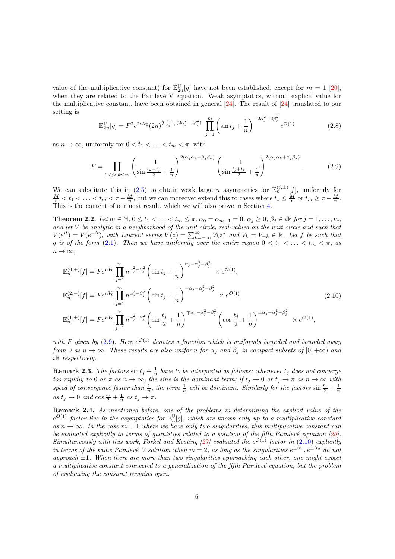value of the multiplicative constant) for  $\mathbb{E}_{2n}^{\mathbb{U}}[g]$  have not been established, except for  $m = 1$  [\[20\]](#page-31-8), when they are related to the Painlevé V equation. Weak asymptotics, without explicit value for the multiplicative constant, have been obtained in general [\[24\]](#page-31-9). The result of [\[24\]](#page-31-9) translated to our setting is

$$
\mathbb{E}_{2n}^{\mathbb{U}}[g] = F^2 e^{2nV_0} (2n)^{\sum_{j=1}^m (2\alpha_j^2 - 2\beta_j^2)} \prod_{j=1}^m \left( \sin t_j + \frac{1}{n} \right)^{-2\alpha_j^2 - 2\beta_j^2} e^{\mathcal{O}(1)}
$$
(2.8)

as  $n \to \infty$ , uniformly for  $0 < t_1 < \ldots < t_m < \pi$ , with

<span id="page-5-2"></span>
$$
F = \prod_{1 \le j < k \le m} \left( \frac{1}{\sin \frac{t_k - t_j}{2} + \frac{1}{n}} \right)^{2(\alpha_j \alpha_k - \beta_j \beta_k)} \left( \frac{1}{\sin \frac{t_j + t_k}{2} + \frac{1}{n}} \right)^{2(\alpha_j \alpha_k + \beta_j \beta_k)}.
$$
\n(2.9)

We can substitute this in [\(2.5\)](#page-4-2) to obtain weak large *n* asymptotics for  $\mathbb{E}_n^{(j,\pm)}[f]$ , uniformly for  $\frac{M}{n} < t_1 < \ldots < t_m < \pi - \frac{M}{n}$ , but we can moreover extend this to cases where  $t_1 \leq \frac{M}{n}$  or  $t_m \geq \pi - \frac{M}{n$ This is the content of our next result, which we will also prove in Section [4.](#page-12-0)

<span id="page-5-1"></span>**Theorem 2.2.** Let  $m \in \mathbb{N}$ ,  $0 \le t_1 < \ldots < t_m \le \pi$ ,  $\alpha_0 = \alpha_{m+1} = 0$ ,  $\alpha_j \ge 0$ ,  $\beta_j \in i\mathbb{R}$  for  $j = 1, \ldots, m$ , *and let V be analytic in a neighborhood of the unit circle, real-valued on the unit circle and such that*  $V(e^{it}) = V(e^{-it})$ , with Laurent series  $V(z) = \sum_{k=-\infty}^{\infty} V_k z^k$  and  $V_k = V_{-k} \in \mathbb{R}$ . Let f be such that *g is of the form* [\(2.1\)](#page-3-1). Then we have uniformly over the entire region  $0 < t_1 < \ldots < t_m < \pi$ , as  $n \to \infty$ ,

<span id="page-5-3"></span>
$$
\mathbb{E}_{n}^{(0,+)}[f] = F e^{nV_{0}} \prod_{j=1}^{m} n^{\alpha_{j}^{2} - \beta_{j}^{2}} \left( \sin t_{j} + \frac{1}{n} \right)^{\alpha_{j} - \alpha_{j}^{2} - \beta_{j}^{2}} \times e^{\mathcal{O}(1)},
$$
\n
$$
\mathbb{E}_{n}^{(2,-)}[f] = F e^{nV_{0}} \prod_{j=1}^{m} n^{\alpha_{j}^{2} - \beta_{j}^{2}} \left( \sin t_{j} + \frac{1}{n} \right)^{-\alpha_{j} - \alpha_{j}^{2} - \beta_{j}^{2}} \times e^{\mathcal{O}(1)},
$$
\n
$$
\mathbb{E}_{n}^{(1,\pm)}[f] = F e^{nV_{0}} \prod_{j=1}^{m} n^{\alpha_{j}^{2} - \beta_{j}^{2}} \left( \sin \frac{t_{j}}{2} + \frac{1}{n} \right)^{\mp \alpha_{j} - \alpha_{j}^{2} - \beta_{j}^{2}} \left( \cos \frac{t_{j}}{2} + \frac{1}{n} \right)^{\pm \alpha_{j} - \alpha_{j}^{2} - \beta_{j}^{2}} \times e^{\mathcal{O}(1)},
$$
\n(2.10)

with *F* given by  $(2.9)$ *. Here*  $e^{\mathcal{O}(1)}$  denotes a function which is uniformly bounded and bounded away *from* 0 *as*  $n \to \infty$ *. These results are also uniform for*  $\alpha_j$  *and*  $\beta_j$  *in compact subsets of*  $[0, +\infty)$  *and i*R *respectively.*

**Remark 2.3.** *The factors*  $\sin t_j + \frac{1}{n}$  *have to be interpreted as follows: whenever*  $t_j$  *does not converge too rapidly to* 0 *or*  $\pi$  *as*  $n \to \infty$ *, the sine is the dominant term; if*  $t_j \to 0$  *or*  $t_j \to \pi$  *as*  $n \to \infty$  *with* speed of convergence faster than  $\frac{1}{n}$ , the term  $\frac{1}{n}$  will be dominant. Similarly for the factors  $\sin \frac{t_j}{2} + \frac{1}{n}$  $as t_j \to 0$  and  $\cos \frac{t_j}{2} + \frac{1}{n}$  as  $t_j \to \pi$ .

<span id="page-5-0"></span>**Remark 2.4.** *As mentioned before, one of the problems in determining the explicit value of the*  $e^{\mathcal{O}(1)}$  factor lies in the asymptotics for  $\mathbb{E}_n^{\mathbb{U}}[g]$ , which are known only up to a multiplicative constant  $as n \rightarrow \infty$ . In the case  $m = 1$  where we have only two singularities, this multiplicative constant can *be evaluated explicitly in terms of quantities related to a solution of the fifth Painlevé equation [\[20\]](#page-31-8)*. *Simultaneously with this work, Forkel and Keating* [\[27\]](#page-31-11) *evaluated the*  $e^{O(1)}$  *factor in* [\(2.10\)](#page-5-3) *explicitly in terms of the same Painlevé V solution when*  $m = 2$ , as long as the singularities  $e^{\pm it_1}$ ,  $e^{\pm it_2}$  do not *approach* ±1*. When there are more than two singularities approaching each other, one might expect a multiplicative constant connected to a generalization of the fifth Painlev´e equation, but the problem of evaluating the constant remains open.*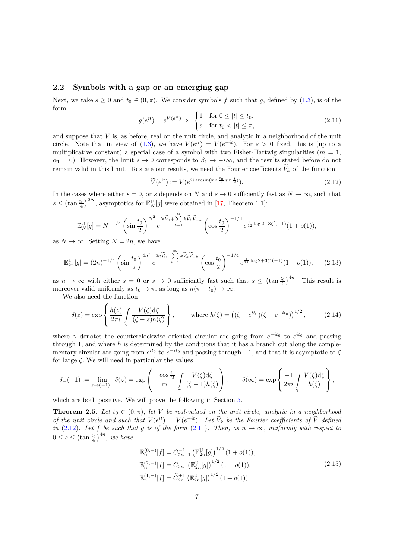#### **2.2 Symbols with a gap or an emerging gap**

Next, we take  $s \geq 0$  and  $t_0 \in (0, \pi)$ . We consider symbols f such that g, defined by [\(1.3\)](#page-1-0), is of the form

<span id="page-6-2"></span>
$$
g(e^{it}) = e^{V(e^{it})} \times \begin{cases} 1 & \text{for } 0 \le |t| \le t_0, \\ s & \text{for } t_0 < |t| \le \pi, \end{cases} \tag{2.11}
$$

and suppose that  $V$  is, as before, real on the unit circle, and analytic in a neighborhood of the unit circle. Note that in view of [\(1.3\)](#page-1-0), we have  $V(e^{it}) = V(e^{-it})$ . For  $s > 0$  fixed, this is (up to a multiplicative constant) a special case of a symbol with two Fisher-Hartwig singularities  $(m = 1,$  $\alpha_1 = 0$ ). However, the limit  $s \to 0$  corresponds to  $\beta_1 \to -i\infty$ , and the results stated before do not remain valid in this limit. To state our results, we need the Fourier coefficients  $V_k$  of the function

<span id="page-6-1"></span>
$$
\widetilde{V}(e^{it}) := V(e^{2i \arcsin(\sin \frac{t_0}{2} \sin \frac{t}{2})}).\tag{2.12}
$$

In the cases where either  $s = 0$ , or  $s$  depends on  $N$  and  $s \to 0$  sufficiently fast as  $N \to \infty$ , such that  $s \leq (\tan \frac{t_0}{4})^{2N}$ , asymptotics for  $\mathbb{E}_N^{\mathbb{U}}[g]$  were obtained in [\[17,](#page-31-7) Theorem 1.1]:

$$
\mathbb{E}_N^{\mathbb{U}}[g] = N^{-1/4} \left( \sin \frac{t_0}{2} \right)^{N^2} e^{-N\widetilde{V}_0 + \sum_{k=1}^{\infty} k\widetilde{V}_k \widetilde{V}_{-k}} \left( \cos \frac{t_0}{2} \right)^{-1/4} e^{\frac{1}{12} \log 2 + 3\zeta'(-1)} (1 + o(1)),
$$

as  $N \to \infty$ . Setting  $N = 2n$ , we have

<span id="page-6-3"></span>
$$
\mathbb{E}_{2n}^{\mathbb{U}}[g] = (2n)^{-1/4} \left(\sin\frac{t_0}{2}\right)^{4n^2} e^{-2n\widetilde{V}_0 + \sum_{k=1}^{\infty} k\widetilde{V}_k \widetilde{V}_{-k}} \left(\cos\frac{t_0}{2}\right)^{-1/4} e^{\frac{1}{12}\log 2 + 3\zeta'(-1)} (1+o(1)),\tag{2.13}
$$

as  $n \to \infty$  with either  $s = 0$  or  $s \to 0$  sufficiently fast such that  $s \leq (\tan \frac{t_0}{4})^{4n}$ . This result is moreover valid uniformly as  $t_0 \to \pi$ , as long as  $n(\pi - t_0) \to \infty$ .

We also need the function

$$
\delta(z) = \exp\left\{\frac{h(z)}{2\pi i} \int \frac{V(\zeta)d\zeta}{(\zeta-z)h(\zeta)}\right\}, \qquad \text{where } h(\zeta) = \left((\zeta - e^{it_0})(\zeta - e^{-it_0})\right)^{1/2}, \qquad (2.14)
$$

where  $\gamma$  denotes the counterclockwise oriented circular arc going from  $e^{-it_0}$  to  $e^{it_0}$  and passing through 1, and where *h* is determined by the conditions that it has a branch cut along the complementary circular arc going from  $e^{it_0}$  to  $e^{-it_0}$  and passing through  $-1$ , and that it is asymptotic to  $\zeta$ for large *ζ.* We will need in particular the values

$$
\delta_{-}(-1) := \lim_{z \to (-1)_{-}} \delta(z) = \exp\left(\frac{-\cos\frac{t_0}{2}}{\pi i} \int_{\gamma} \frac{V(\zeta) d\zeta}{(\zeta + 1)h(\zeta)}\right), \qquad \delta(\infty) = \exp\left\{\frac{-1}{2\pi i} \int_{\gamma} \frac{V(\zeta) d\zeta}{h(\zeta)}\right\},\,
$$

which are both positive. We will prove the following in Section [5.](#page-20-0)

<span id="page-6-0"></span>**Theorem 2.5.** *Let*  $t_0 \in (0, \pi)$ *, let V be real-valued on the unit circle, analytic in a neighborhood of the unit circle and such that*  $V(e^{it}) = V(e^{-it})$ *. Let*  $\tilde{V}_k$  *be the Fourier coefficients of*  $\tilde{V}$  *defined in* [\(2.12\)](#page-6-1). Let  $f$  *be such that*  $g$  *is of the form* [\(2.11\)](#page-6-2)*. Then, as*  $n \to \infty$ *, uniformly with respect to*  $0 \leq s \leq (\tan \frac{t_0}{4})^{4n}$ , we have

<span id="page-6-4"></span>
$$
\mathbb{E}_{n}^{(0,+)}[f] = C_{2n-1}^{-1} \left( \mathbb{E}_{2n}^{\mathbb{U}}[g] \right)^{1/2} (1 + o(1)),
$$
  
\n
$$
\mathbb{E}_{n}^{(2,-)}[f] = C_{2n} \left( \mathbb{E}_{2n}^{\mathbb{U}}[g] \right)^{1/2} (1 + o(1)),
$$
  
\n
$$
\mathbb{E}_{n}^{(1,\pm)}[f] = \widetilde{C}_{2n}^{\pm 1} \left( \mathbb{E}_{2n}^{\mathbb{U}}[g] \right)^{1/2} (1 + o(1)),
$$
\n(2.15)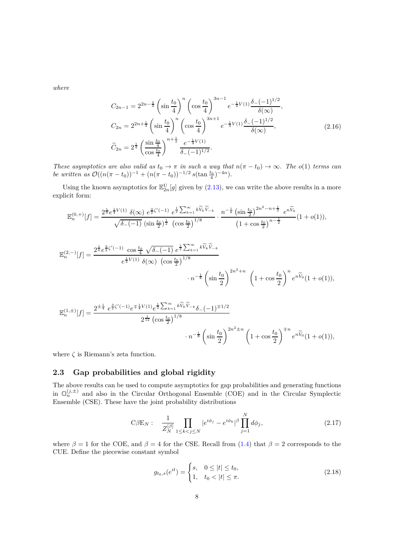*where*

$$
C_{2n-1} = 2^{2n - \frac{3}{4}} \left( \sin \frac{t_0}{4} \right)^n \left( \cos \frac{t_0}{4} \right)^{3n-1} e^{-\frac{1}{4}V(1)} \frac{\delta_{-}(-1)^{1/2}}{\delta(\infty)},
$$
  
\n
$$
C_{2n} = 2^{2n + \frac{1}{4}} \left( \sin \frac{t_0}{4} \right)^n \left( \cos \frac{t_0}{4} \right)^{3n+1} e^{-\frac{1}{4}V(1)} \frac{\delta_{-}(-1)^{1/2}}{\delta(\infty)},
$$
  
\n
$$
\widetilde{C}_{2n} = 2^{\frac{1}{4}} \left( \frac{\sin \frac{t_0}{4}}{\cos \frac{t_0}{4}} \right)^{n + \frac{1}{2}} \frac{e^{-\frac{1}{4}V(1)}}{\delta_{-}(-1)^{1/2}}.
$$
\n(2.16)

*These asymptotics are also valid as*  $t_0 \to \pi$  *in such a way that*  $n(\pi - t_0) \to \infty$ *. The*  $o(1)$  *terms can be written as*  $\mathcal{O}((n(\pi - t_0))^{-1} + (n(\pi - t_0))^{-1/2} s(\tan \frac{t_0}{4})^{-4n}).$ 

Using the known asymptotics for  $\mathbb{E}_{2n}^{\text{U}}[g]$  given by [\(2.13\)](#page-6-3), we can write the above results in a more explicit form:

$$
\mathbb{E}_{n}^{(0,+)}[f] = \frac{2^{\frac{1}{6}}e^{\frac{1}{4}V(1)}\,\delta(\infty)\,e^{\frac{3}{2}\zeta'(-1)}\,e^{\frac{1}{2}\sum_{k=1}^{\infty}k\widetilde{V}_{k}\widetilde{V}_{-k}}}{\sqrt{\delta_{-}(-1)}\,\left(\sin\frac{t_{0}}{2}\right)^{\frac{1}{2}}\,\left(\cos\frac{t_{0}}{2}\right)^{1/8}}\cdot\frac{n^{-\frac{1}{8}}\,\left(\sin\frac{t_{0}}{2}\right)^{2n^{2}-n+\frac{1}{2}}\,e^{n\widetilde{V}_{0}}}{\left(1+\cos\frac{t_{0}}{2}\right)^{n-\frac{1}{2}}}(1+o(1)),
$$

$$
\mathbb{E}_{n}^{(2,-)}[f] = \frac{2^{\frac{1}{6}} e^{\frac{3}{2}\zeta'(-1)} \cos\frac{t_0}{4} \sqrt{\delta_{-}(-1)} e^{\frac{1}{2} \sum_{k=1}^{\infty} k \widetilde{V}_{k} \widetilde{V}_{-k}}}{e^{\frac{1}{4}V(1)} \delta(\infty) \left(\cos\frac{t_0}{2}\right)^{1/8}} \cdot n^{-\frac{1}{8}} \left(\sin\frac{t_0}{2}\right)^{2n^2+n} \left(1 + \cos\frac{t_0}{2}\right)^n e^{n\widetilde{V}_0}(1+o(1)),
$$

$$
\mathbb{E}_{n}^{(1,\pm)}[f] = \frac{2^{\pm \frac{1}{4}} e^{\frac{3}{2}\zeta'(-1)} e^{\mp \frac{1}{4}V(1)} e^{\frac{1}{2} \sum_{k=1}^{\infty} k \widetilde{V}_{k} \widetilde{V}_{-k}} \delta_{-}(-1)^{\mp 1/2}}{2^{\frac{1}{12}} \left(\cos \frac{t_{0}}{2}\right)^{1/8}} \cdot n^{-\frac{1}{8}} \left(\sin \frac{t_{0}}{2}\right)^{2n^{2} \pm n} \left(1 + \cos \frac{t_{0}}{2}\right)^{\mp n} e^{n \widetilde{V}_{0}} (1 + o(1)),
$$

where  $\zeta$  is Riemann's zeta function.

### **2.3 Gap probabilities and global rigidity**

The above results can be used to compute asymptotics for gap probabilities and generating functions in  $\mathbb{O}_n^{(j,\pm)}$  and also in the Circular Orthogonal Ensemble (COE) and in the Circular Symplectic Ensemble (CSE). These have the joint probability distributions

<span id="page-7-0"></span>
$$
C\beta E_N: \quad \frac{1}{Z_N^{[\beta]}} \prod_{1 \le k < j \le N} |e^{i\phi_j} - e^{i\phi_k}|^\beta \prod_{j=1}^N d\phi_j,\tag{2.17}
$$

where  $\beta = 1$  for the COE, and  $\beta = 4$  for the CSE. Recall from [\(1.4\)](#page-1-4) that  $\beta = 2$  corresponds to the CUE. Define the piecewise constant symbol

<span id="page-7-1"></span>
$$
g_{t_0,s}(e^{it}) = \begin{cases} s, & 0 \le |t| \le t_0, \\ 1, & t_0 < |t| \le \pi. \end{cases}
$$
 (2.18)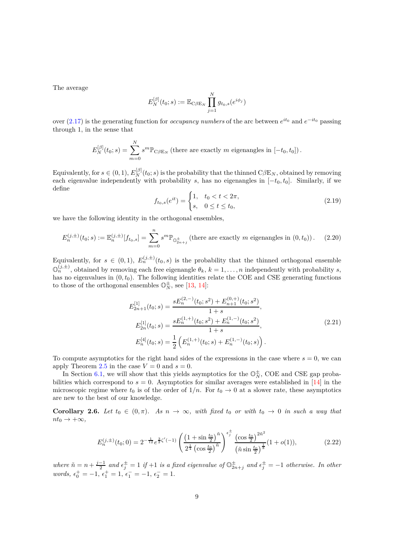The average

$$
E_N^{[\beta]}(t_0;s):=\mathbb{E}_{\text{C}\beta \to_N} \prod_{j=1}^N g_{t_0,s}(e^{i\phi_j})
$$

over  $(2.17)$  is the generating function for *occupancy numbers* of the arc between  $e^{it_0}$  and  $e^{-it_0}$  passing through 1, in the sense that

$$
E_N^{[\beta]}(t_0; s) = \sum_{m=0}^N s^m \mathbb{P}_{\text{C}\beta \to \text{N}} \left( \text{there are exactly } m \text{ eigenangles in } [-t_0, t_0] \right).
$$

Equivalently, for  $s \in (0, 1)$ ,  $E_N^{[\beta]}(t_0; s)$  is the probability that the thinned  $C\beta E_N$ , obtained by removing each eigenvalue independently with probability *s*, has no eigenangles in [−*t*0*, t*0]. Similarly, if we define

<span id="page-8-3"></span>
$$
f_{t_0,s}(e^{it}) = \begin{cases} 1, & t_0 < t < 2\pi, \\ s, & 0 \le t \le t_0, \end{cases}
$$
 (2.19)

we have the following identity in the orthogonal ensembles,

<span id="page-8-2"></span>
$$
E_n^{(j,\pm)}(t_0;s) := \mathbb{E}_n^{(j,\pm)}[f_{t_0,s}] = \sum_{m=0}^n s^m \mathbb{P}_{\mathbb{O}_{2n+j}^{\pm}} \text{ (there are exactly } m \text{ eigenangles in } (0,t_0) \text{)}. \tag{2.20}
$$

Equivalently, for  $s \in (0,1)$ ,  $E_n^{(j,\pm)}(t_0,s)$  is the probability that the thinned orthogonal ensemble  $\mathbb{O}_n^{(j,\pm)}$ , obtained by removing each free eigenangle  $\theta_k$ ,  $k = 1, \ldots, n$  independently with probability *s*, has no eigenvalues in  $(0, t_0)$ . The following identities relate the COE and CSE generating functions to those of the orthogonal ensembles  $\mathbb{O}_N^{\pm}$ , see [\[13,](#page-31-12) [14\]](#page-31-13):

<span id="page-8-0"></span>
$$
E_{2n+1}^{[1]}(t_0; s) = \frac{sE_n^{(2,-)}(t_0; s^2) + E_{n+1}^{(0,+)}(t_0; s^2)}{1+s},
$$
  
\n
$$
E_{2n}^{[1]}(t_0; s) = \frac{sE_n^{(1,+)}(t_0; s^2) + E_n^{(1,-)}(t_0; s^2)}{1+s},
$$
  
\n
$$
E_n^{[4]}(t_0; s) = \frac{1}{2} \left( E_n^{(1,+)}(t_0; s) + E_n^{(1,-)}(t_0; s) \right).
$$
\n(2.21)

To compute asymptotics for the right hand sides of the expressions in the case where  $s = 0$ , we can apply Theorem [2.5](#page-6-0) in the case  $V = 0$  and  $s = 0$ .

In Section [6.1,](#page-27-1) we will show that this yields asymptotics for the  $\mathbb{O}_N^{\pm}$ , COE and CSE gap probabilities which correspond to  $s = 0$ . Asymptotics for similar averages were established in [\[14\]](#page-31-13) in the microscopic regime where  $t_0$  is of the order of  $1/n$ . For  $t_0 \rightarrow 0$  at a slower rate, these asymptotics are new to the best of our knowledge.

<span id="page-8-1"></span>**Corollary 2.6.** *Let*  $t_0 \in (0, \pi)$ *. As*  $n \to \infty$ *, with fixed*  $t_0$  *or with*  $t_0 \to 0$  *in such a way that*  $nt_0 \rightarrow +\infty$ *,* 

$$
E_n^{(j,\pm)}(t_0;0) = 2^{-\frac{1}{12}} e^{\frac{3}{2}\zeta'(-1)} \left( \frac{\left(1+\sin\frac{t_0}{2}\right)^{\tilde{n}}}{2^{\frac{1}{4}} \left(\cos\frac{t_0}{2}\right)^{\tilde{n}}} \right)^{\epsilon_j^{\pm}} \frac{\left(\cos\frac{t_0}{2}\right)^{2\tilde{n}^2}}{\left(\tilde{n}\sin\frac{t_0}{2}\right)^{\frac{1}{8}}} (1+o(1)),\tag{2.22}
$$

*where*  $\tilde{n} = n + \frac{j-1}{2}$  and  $\epsilon_j^{\pm} = 1$  if  $+1$  is a fixed eigenvalue of  $\mathbb{O}_{2n+j}^{\pm}$  and  $\epsilon_j^{\pm} = -1$  otherwise. In other  $words, \epsilon_0^+ = -1, \epsilon_1^+ = 1, \epsilon_1^- = -1, \epsilon_2^- = 1.$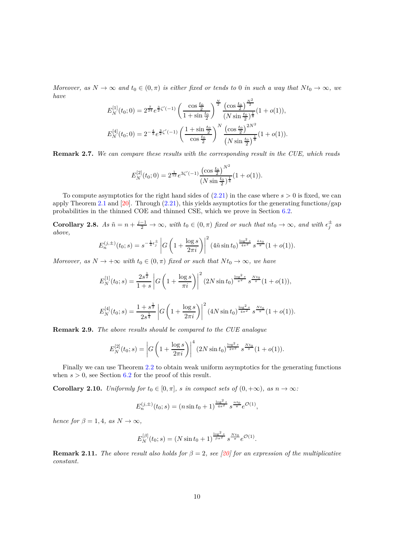*Moreover, as*  $N \to \infty$  *and*  $t_0 \in (0, \pi)$  *is either fixed or tends to* 0 *in such a way that*  $Nt_0 \to \infty$ *, we have <sup>N</sup>*<sup>2</sup>

$$
E_N^{[1]}(t_0;0) = 2^{\frac{7}{24}} e^{\frac{3}{2}\zeta'(-1)} \left( \frac{\cos\frac{t_0}{2}}{1+\sin\frac{t_0}{2}} \right)^{\frac{N}{2}} \frac{\left(\cos\frac{t_0}{2}\right)^{\frac{N^2}{2}}}{\left(N\sin\frac{t_0}{2}\right)^{\frac{1}{8}}} (1+o(1)),
$$
  

$$
E_N^{[4]}(t_0;0) = 2^{-\frac{4}{3}} e^{\frac{3}{2}\zeta'(-1)} \left( \frac{1+\sin\frac{t_0}{2}}{\cos\frac{t_0}{2}} \right)^N \frac{\left(\cos\frac{t_0}{2}\right)^{2N^2}}{\left(N\sin\frac{t_0}{2}\right)^{\frac{1}{8}}} (1+o(1)).
$$

**Remark 2.7.** *We can compare these results with the corresponding result in the CUE, which reads*

$$
E_N^{[2]}(t_0;0) = 2^{\frac{1}{12}} e^{3\zeta'(-1)} \frac{\left(\cos\frac{t_0}{2}\right)^{N^2}}{\left(N\sin\frac{t_0}{2}\right)^{\frac{1}{4}}}(1+o(1)).
$$

To compute asymptotics for the right hand sides of  $(2.21)$  in the case where  $s > 0$  is fixed, we can apply Theorem [2.1](#page-4-0) and  $[20]$ . Through  $(2.21)$ , this yields asymptotics for the generating functions/gap probabilities in the thinned COE and thinned CSE, which we prove in Section [6.2.](#page-27-2)

<span id="page-9-0"></span>**Corollary 2.8.** As  $\tilde{n} = n + \frac{j-1}{2} \to \infty$ , with  $t_0 \in (0, \pi)$  fixed or such that  $nt_0 \to \infty$ , and with  $\epsilon_j^{\pm}$  as *above,*

$$
E_n^{(j,\pm)}(t_0;s) = s^{-\frac{1}{4}\epsilon_j^{\pm}} \left| G\left(1 + \frac{\log s}{2\pi i}\right) \right|^2 (4\tilde{n}\sin t_0)^{\frac{\log^2 s}{4\pi^2}} s^{\frac{\tilde{n}t_0}{\pi}} (1 + o(1)).
$$

*Moreover, as*  $N \to +\infty$  *with*  $t_0 \in (0, \pi)$  *fixed or such that*  $Nt_0 \to \infty$ *, we have* 

$$
E_N^{[1]}(t_0; s) = \frac{2s^{\frac{1}{2}}}{1+s} \left| G\left(1 + \frac{\log s}{\pi i}\right) \right|^2 (2N \sin t_0)^{\frac{\log^2 s}{\pi^2}} s^{\frac{Nt_0}{\pi}} (1+o(1)),
$$
  

$$
E_N^{[1]}(t_0; s) = \frac{1+s^{\frac{1}{2}}}{1+s^{\frac{1}{2}}}\left| \frac{1}{\pi} \left(1 + \frac{\log s}{\sqrt{1 + \frac{1}{\pi}}}\right) \right|^2 (2N \sin t_0)^{\frac{\log^2 s}{\pi}} s^{\frac{Nt_0}{\pi}} (1+o(1)),
$$

$$
E_N^{[4]}(t_0; s) = \frac{1 + s^{\frac{1}{2}}}{2s^{\frac{1}{4}}} \left| G\left(1 + \frac{\log s}{2\pi i}\right) \right|^2 (4N\sin t_0)^{\frac{\log^2 s}{4\pi^2}} s^{\frac{Nt_0}{\pi}} (1 + o(1)).
$$

**Remark 2.9.** *The above results should be compared to the CUE analogue*

$$
E_N^{[2]}(t_0; s) = \left| G\left(1 + \frac{\log s}{2\pi i}\right) \right|^4 (2N\sin t_0)^{\frac{\log^2 s}{2\pi^2}} s^{\frac{Nt_0}{\pi}} (1 + o(1)).
$$

Finally we can use Theorem [2.2](#page-5-1) to obtain weak uniform asymptotics for the generating functions when  $s > 0$ , see Section [6.2](#page-27-2) for the proof of this result.

<span id="page-9-1"></span>**Corollary 2.10.** *Uniformly for*  $t_0 \in [0, \pi]$ *, s in compact sets of*  $(0, +\infty)$ *, as*  $n \to \infty$ *:* 

$$
E_n^{(j,\pm)}(t_0;s) = (n\sin t_0 + 1)^{\frac{\log^2 s}{4\pi^2}} s^{\frac{nt_0}{\pi}} e^{\mathcal{O}(1)},
$$

*hence for*  $\beta = 1, 4$ *, as*  $N \rightarrow \infty$ *,* 

$$
E_N^{[\beta]}(t_0; s) = (N \sin t_0 + 1)^{\frac{\log^2 s}{\beta \pi^2}} s^{\frac{Nt_0}{\pi}} e^{\mathcal{O}(1)}.
$$

**Remark 2.11.** *The above result also holds for*  $\beta = 2$ *, see* [\[20\]](#page-31-8) *for an expression of the multiplicative constant.*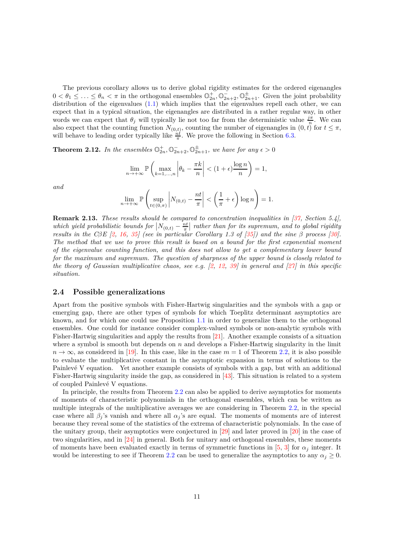The previous corollary allows us to derive global rigidity estimates for the ordered eigenangles  $0 < \theta_1 \leq \ldots \leq \theta_n < \pi$  in the orthogonal ensembles  $\mathbb{O}_{2n}^+$ ,  $\mathbb{O}_{2n+2}^-$ ,  $\mathbb{O}_{2n+1}^{\pm}$ . Given the joint probability distribution of the eigenvalues  $(1.1)$  which implies that the eigenvalues repell each other, we can expect that in a typical situation, the eigenangles are distributed in a rather regular way, in other words we can expect that  $\theta_j$  will typically lie not too far from the deterministic value  $\frac{j\pi}{n}$ . We can also expect that the counting function  $N_{(0,t)}$ , counting the number of eigenangles in  $(0,t)$  for  $t \leq \pi$ , will behave to leading order typically like  $\frac{nt}{\pi}$ . We prove the following in Section [6.3.](#page-28-0)

<span id="page-10-0"></span>**Theorem 2.12.** In the ensembles  $\mathbb{O}_{2n}^+$ ,  $\mathbb{O}_{2n+2}^-$ ,  $\mathbb{O}_{2n+1}^{\pm}$ , we have for any  $\epsilon > 0$ 

$$
\lim_{n \to +\infty} \mathbb{P}\left(\max_{k=1,\dots,n} \left|\theta_k - \frac{\pi k}{n}\right| < (1+\epsilon) \frac{\log n}{n}\right) = 1,
$$

*and*

$$
\lim_{n \to +\infty} \mathbb{P}\left(\sup_{t \in (0,\pi)} \left|N_{(0,t)} - \frac{nt}{\pi}\right| < \left(\frac{1}{\pi} + \epsilon\right) \log n\right) = 1.
$$

**Remark 2.13.** *These results should be compared to concentration inequalities in [\[37,](#page-32-1) Section 5.4],* which yield probabilistic bounds for  $|N_{(0,t)} - \frac{nt}{\pi}|$  rather than for its supremum, and to global rigidity *results in the C* $\beta$ *E* [\[2,](#page-30-5) [16,](#page-31-14) [35\]](#page-32-9) (see in particular Corollary 1.3 of [\[35\]](#page-32-9)) and the sine  $\beta$  process [\[30\]](#page-32-10). *The method that we use to prove this result is based on a bound for the first exponential moment of the eigenvalue counting function, and this does not allow to get a complementary lower bound for the maximum and supremum. The question of sharpness of the upper bound is closely related to the theory of Gaussian multiplicative chaos, see e.g. [\[2,](#page-30-5) [12,](#page-31-15) [39\]](#page-32-11) in general and [\[27\]](#page-31-11) in this specific situation.*

### **2.4 Possible generalizations**

Apart from the positive symbols with Fisher-Hartwig singularities and the symbols with a gap or emerging gap, there are other types of symbols for which Toeplitz determinant asymptotics are known, and for which one could use Proposition [1.1](#page-2-0) in order to generalize them to the orthogonal ensembles. One could for instance consider complex-valued symbols or non-analytic symbols with Fisher-Hartwig singularities and apply the results from [\[21\]](#page-31-0). Another example consists of a situation where a symbol is smooth but depends on *n* and develops a Fisher-Hartwig singularity in the limit  $n \to \infty$ , as considered in [\[19\]](#page-31-5). In this case, like in the case  $m = 1$  of Theorem [2.2,](#page-5-1) it is also possible to evaluate the multiplicative constant in the asymptotic expansion in terms of solutions to the Painlevé V equation. Yet another example consists of symbols with a gap, but with an additional Fisher-Hartwig singularity inside the gap, as considered in [\[43\]](#page-32-12). This situation is related to a system of coupled Painlevé V equations.

In principle, the results from Theorem [2.2](#page-5-1) can also be applied to derive asymptotics for moments of moments of characteristic polynomials in the orthogonal ensembles, which can be written as multiple integrals of the multiplicative averages we are considering in Theorem [2.2,](#page-5-1) in the special case where all  $\beta_j$ 's vanish and where all  $\alpha_j$ 's are equal. The moments of moments are of interest because they reveal some of the statistics of the extrema of characteristic polynomials. In the case of the unitary group, their asymptotics were conjectured in [\[29\]](#page-32-13) and later proved in [\[20\]](#page-31-8) in the case of two singularities, and in [\[24\]](#page-31-9) in general. Both for unitary and orthogonal ensembles, these moments of moments have been evaluated exactly in terms of symmetric functions in [\[5,](#page-30-6) [3\]](#page-30-7) for  $\alpha_j$  integer. It would be interesting to see if Theorem [2.2](#page-5-1) can be used to generalize the asymptotics to any  $\alpha_j \geq 0$ .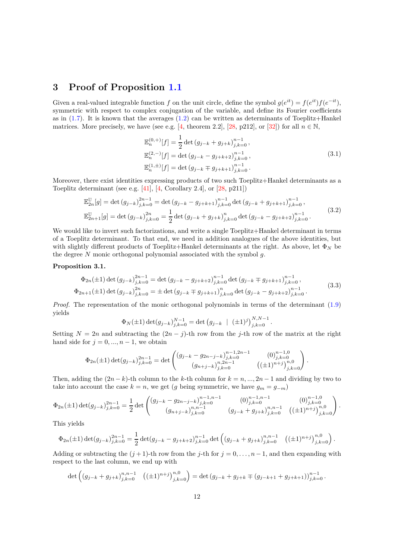## <span id="page-11-0"></span>**3 Proof of Proposition [1.1](#page-2-0)**

Given a real-valued integrable function *f* on the unit circle, define the symbol  $g(e^{it}) = f(e^{it})f(e^{-it})$ , symmetric with respect to complex conjugation of the variable, and define its Fourier coefficients as in  $(1.7)$ . It is known that the averages  $(1.2)$  can be written as determinants of Toeplitz+Hankel matrices. More precisely, we have (see e.g. [\[4,](#page-30-0) theorem 2.2], [\[28,](#page-32-0) p212], or [\[32\]](#page-32-5)) for all  $n \in \mathbb{N}$ ,

<span id="page-11-3"></span>
$$
\mathbb{E}_{n}^{(0,+)}[f] = \frac{1}{2} \det (g_{j-k} + g_{j+k})_{j,k=0}^{n-1},
$$
  
\n
$$
\mathbb{E}_{n}^{(2,-)}[f] = \det (g_{j-k} - g_{j+k+2})_{j,k=0}^{n-1},
$$
  
\n
$$
\mathbb{E}_{n}^{(1,\pm)}[f] = \det (g_{j-k} \mp g_{j+k+1})_{j,k=0}^{n-1}.
$$
\n(3.1)

Moreover, there exist identities expressing products of two such Toeplitz+Hankel determinants as a Toeplitz determinant (see e.g. [\[41\]](#page-32-14), [\[4,](#page-30-0) Corollary 2.4], or [\[28,](#page-32-0) p211])

<span id="page-11-2"></span>
$$
\mathbb{E}_{2n}^{\mathbb{U}}[g] = \det(g_{j-k})_{j,k=0}^{2n-1} = \det(g_{j-k} - g_{j+k+1})_{j,k=0}^{n-1} \det(g_{j-k} + g_{j+k+1})_{j,k=0}^{n-1},
$$
\n
$$
\mathbb{E}_{2n+1}^{\mathbb{U}}[g] = \det(g_{j-k})_{j,k=0}^{2n} = \frac{1}{2} \det(g_{j-k} + g_{j+k})_{j,k=0}^{n} \det(g_{j-k} - g_{j+k+2})_{j,k=0}^{n-1}.
$$
\n(3.2)

We would like to invert such factorizations, and write a single Toeplitz+Hankel determinant in terms of a Toeplitz determinant. To that end, we need in addition analogues of the above identities, but with slightly different products of Toeplitz+Hankel determinants at the right. As above, let  $\Phi_N$  be the degree *N* monic orthogonal polynomial associated with the symbol *g*.

#### **Proposition 3.1.**

<span id="page-11-1"></span>
$$
\Phi_{2n}(\pm 1) \det (g_{j-k})_{j,k=0}^{2n-1} = \det (g_{j-k} - g_{j+k+2})_{j,k=0}^{n-1} \det (g_{j-k} \mp g_{j+k+1})_{j,k=0}^{n-1},
$$
\n
$$
\Phi_{2n+1}(\pm 1) \det (g_{j-k})_{j,k=0}^{2n} = \pm \det (g_{j-k} \mp g_{j+k+1})_{j,k=0}^{n} \det (g_{j-k} - g_{j+k+2})_{j,k=0}^{n-1}.
$$
\n(3.3)

*Proof.* The representation of the monic orthogonal polynomials in terms of the determinant [\(1.9\)](#page-1-6) yields

$$
\Phi_N(\pm 1) \det(g_{j-k})_{j,k=0}^{N-1} = \det (g_{j-k} \mid (\pm 1)^j)_{j,k=0}^{N,N-1}.
$$

Setting  $N = 2n$  and subtracting the  $(2n - j)$ -th row from the *j*-th row of the matrix at the right hand side for  $j = 0, ..., n - 1$ , we obtain

$$
\Phi_{2n}(\pm 1) \det(g_{j-k})_{j,k=0}^{2n-1} = \det \begin{pmatrix} (g_{j-k} - g_{2n-j-k})_{j,k=0}^{n-1,2n-1} & (0)_{j,k=0}^{n-1,0} \\ (g_{n+j-k})_{j,k=0}^{n,2n-1} & ((\pm 1)^{n+j})_{j,k=0}^{n,0} \end{pmatrix}.
$$

Then, adding the  $(2n - k)$ -th column to the *k*-th column for  $k = n, ..., 2n - 1$  and dividing by two to take into account the case  $k = n$ , we get (*g* being symmetric, we have  $g_m = g_{-m}$ )

$$
\Phi_{2n}(\pm 1) \det(g_{j-k})_{j,k=0}^{2n-1} = \frac{1}{2} \det \begin{pmatrix} (g_{j-k} - g_{2n-j-k})_{j,k=0}^{n-1,n-1} & (0)_{j,k=0}^{n-1,n-1} & (0)_{j,k=0}^{n-1,0} \\ (g_{n+j-k})_{j,k=0}^{n,n-1} & (g_{j-k} + g_{j+k})_{j,k=0}^{n,n-1} & ((\pm 1)^{n+j})_{j,k=0}^{n,0} \end{pmatrix}.
$$

This yields

$$
\Phi_{2n}(\pm 1) \det(g_{j-k})_{j,k=0}^{2n-1} = \frac{1}{2} \det(g_{j-k} - g_{j+k+2})_{j,k=0}^{n-1} \det \left( (g_{j-k} + g_{j+k})_{j,k=0}^{n,n-1} \right. \left. \left( (\pm 1)^{n+j} \right)_{j,k=0}^{n,0} \right).
$$

Adding or subtracting the  $(j+1)$ -th row from the *j*-th for  $j = 0, \ldots, n-1$ , and then expanding with respect to the last column, we end up with

$$
\det\left( (g_{j-k} + g_{j+k})_{j,k=0}^{n,n-1} \quad ((\pm 1)^{n+j})_{j,k=0}^{n,0} \right) = \det\left( g_{j-k} + g_{j+k} \mp (g_{j-k+1} + g_{j+k+1}) \right)_{j,k=0}^{n-1}.
$$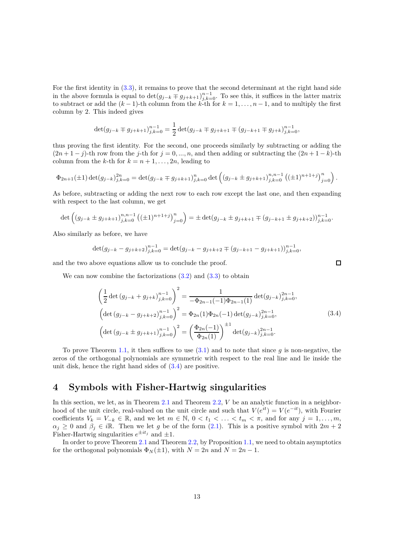For the first identity in [\(3.3\)](#page-11-1), it remains to prove that the second determinant at the right hand side in the above formula is equal to  $\det(g_{j-k} \mp g_{j+k+1})_{j,k=0}^{n-1}$ . To see this, it suffices in the latter matrix to subtract or add the  $(k-1)$ -th column from the *k*-th for  $k = 1, \ldots, n-1$ , and to multiply the first column by 2. This indeed gives

$$
\det(g_{j-k} \mp g_{j+k+1})_{j,k=0}^{n-1} = \frac{1}{2} \det(g_{j-k} \mp g_{j+k+1} \mp (g_{j-k+1} \mp g_{j+k})_{j,k=0}^{n-1},
$$

thus proving the first identity. For the second, one proceeds similarly by subtracting or adding the  $(2n+1-j)$ -th row from the *j*-th for  $j = 0, ..., n$ , and then adding or subtracting the  $(2n+1-k)$ -th column from the *k*-th for  $k = n + 1, \ldots, 2n$ , leading to

$$
\Phi_{2n+1}(\pm 1) \det(g_{j-k})_{j,k=0}^{2n} = \det(g_{j-k} \mp g_{j+k+1})_{j,k=0}^n \det\left( (g_{j-k} \pm g_{j+k+1})_{j,k=0}^{n,n-1} ((\pm 1)^{n+1+j})_{j=0}^n \right).
$$

As before, subtracting or adding the next row to each row except the last one, and then expanding with respect to the last column, we get

$$
\det\left(\left(g_{j-k}\pm g_{j+k+1}\right)_{j,k=0}^{n,n-1}\left((\pm 1)^{n+1+j}\right)_{j=0}^{n}\right)=\pm\det(g_{j-k}\pm g_{j+k+1}\mp (g_{j-k+1}\pm g_{j+k+2}))_{j,k=0}^{n-1}.
$$

Also similarly as before, we have

$$
\det(g_{j-k}-g_{j+k+2})_{j,k=0}^{n-1} = \det(g_{j-k}-g_{j+k+2} \mp (g_{j-k+1}-g_{j+k+1}))_{j,k=0}^{n-1},
$$

and the two above equations allow us to conclude the proof.

We can now combine the factorizations  $(3.2)$  and  $(3.3)$  to obtain

<span id="page-12-1"></span>
$$
\left(\frac{1}{2}\det\left(g_{j-k}+g_{j+k}\right)_{j,k=0}^{n-1}\right)^{2} = \frac{1}{-\Phi_{2n-1}(-1)\Phi_{2n-1}(1)}\det(g_{j-k})_{j,k=0}^{2n-1},
$$
\n
$$
\left(\det\left(g_{j-k}-g_{j+k+2}\right)_{j,k=0}^{n-1}\right)^{2} = \Phi_{2n}(1)\Phi_{2n}(-1)\det(g_{j-k})_{j,k=0}^{2n-1},
$$
\n
$$
\left(\det\left(g_{j-k}\pm g_{j+k+1}\right)_{j,k=0}^{n-1}\right)^{2} = \left(\frac{\Phi_{2n}(-1)}{\Phi_{2n}(1)}\right)^{\pm 1}\det(g_{j-k})_{j,k=0}^{2n-1}.
$$
\n(3.4)

 $\Box$ 

To prove Theorem [1.1,](#page-2-0) it then suffices to use  $(3.1)$  and to note that since *g* is non-negative, the zeros of the orthogonal polynomials are symmetric with respect to the real line and lie inside the unit disk, hence the right hand sides of [\(3.4\)](#page-12-1) are positive.

### <span id="page-12-0"></span>**4 Symbols with Fisher-Hartwig singularities**

In this section, we let, as in Theorem [2.1](#page-4-0) and Theorem [2.2,](#page-5-1) *V* be an analytic function in a neighborhood of the unit circle, real-valued on the unit circle and such that  $V(e^{it}) = V(e^{-it})$ , with Fourier coefficients  $V_k = V_{-k} \in \mathbb{R}$ , and we let  $m \in \mathbb{N}$ ,  $0 < t_1 < \ldots < t_m < \pi$ , and for any  $j = 1, \ldots, m$ ,  $\alpha_j \geq 0$  and  $\beta_j \in i\mathbb{R}$ . Then we let *g* be of the form [\(2.1\)](#page-3-1). This is a positive symbol with  $2m + 2$ Fisher-Hartwig singularities  $e^{\pm it_j}$  and  $\pm 1$ .

In order to prove Theorem [2.1](#page-4-0) and Theorem [2.2,](#page-5-1) by Proposition [1.1,](#page-2-0) we need to obtain asymptotics for the orthogonal polynomials  $\Phi_N(\pm 1)$ , with  $N = 2n$  and  $N = 2n - 1$ .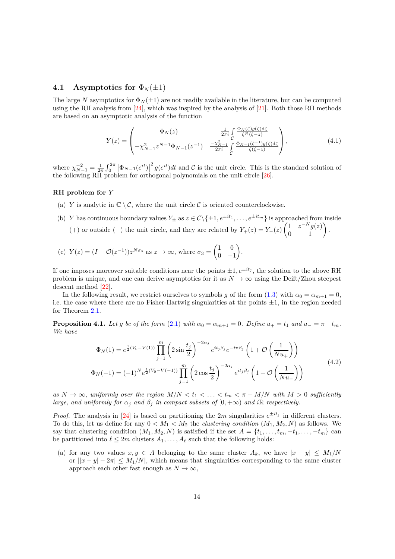#### <span id="page-13-3"></span>**4.1** Asymptotics for  $\Phi_N(\pm 1)$

The large *N* asymptotics for  $\Phi_N(\pm 1)$  are not readily available in the literature, but can be computed using the RH analysis from  $[24]$ , which was inspired by the analysis of  $[21]$ . Both those RH methods are based on an asymptotic analysis of the function

<span id="page-13-0"></span>
$$
Y(z) = \begin{pmatrix} \Phi_N(z) & \frac{1}{2\pi i} \int_{C} \frac{\Phi_N(\zeta)g(\zeta)d\zeta}{\zeta^N(\zeta-z)} \\ -\chi_{N-1}^2 z^{N-1} \Phi_{N-1}(z^{-1}) & \frac{-\chi_{N-1}^2}{2\pi i} \int_{C} \frac{\Phi_{N-1}(\zeta^{-1})g(\zeta)d\zeta}{\zeta(\zeta-z)} \end{pmatrix},
$$
(4.1)

where  $\chi_{N-1}^{-2} = \frac{1}{2\pi} \int_0^{2\pi} |\Phi_{N-1}(e^{it})|^2 g(e^{it}) dt$  and C is the unit circle. This is the standard solution of the following RH problem for orthogonal polynomials on the unit circle [\[26\]](#page-31-16).

#### **RH problem for** *Y*

- (a) *Y* is analytic in  $\mathbb{C} \setminus \mathcal{C}$ , where the unit circle  $\mathcal{C}$  is oriented counterclockwise.
- (b) *Y* has continuous boundary values  $Y_{\pm}$  as  $z \in \mathcal{C} \setminus \{\pm 1, e^{\pm it_1}, \ldots, e^{\pm it_m}\}\$ is approached from inside (+) or outside (−) the unit circle, and they are related by  $Y_+(z) = Y_-(z)$  $\left(\begin{matrix} 1 & z^{-N}g(z) \\ 0 & 1 \end{matrix}\right).$

(c) 
$$
Y(z) = (I + \mathcal{O}(z^{-1}))z^{N\sigma_3}
$$
 as  $z \to \infty$ , where  $\sigma_3 = \begin{pmatrix} 1 & 0 \\ 0 & -1 \end{pmatrix}$ .

If one imposes moreover suitable conditions near the points  $\pm 1, e^{\pm it_j}$ , the solution to the above RH problem is unique, and one can derive asymptotics for it as  $N \to \infty$  using the Deift/Zhou steepest descent method [\[22\]](#page-31-17).

In the following result, we restrict ourselves to symbols *g* of the form [\(1.3\)](#page-1-0) with  $\alpha_0 = \alpha_{m+1} = 0$ , i.e. the case where there are no Fisher-Hartwig singularities at the points  $\pm 1$ , in the region needed for Theorem [2.1.](#page-4-0)

<span id="page-13-2"></span>**Proposition 4.1.** *Let g be of the form* [\(2.1\)](#page-3-1) *with*  $\alpha_0 = \alpha_{m+1} = 0$ . Define  $u_+ = t_1$  and  $u_- = \pi - t_m$ . *We have*

<span id="page-13-1"></span>
$$
\Phi_N(1) = e^{\frac{1}{2}(V_0 - V(1))} \prod_{j=1}^m \left( 2 \sin \frac{t_j}{2} \right)^{-2\alpha_j} e^{it_j \beta_j} e^{-i\pi \beta_j} \left( 1 + \mathcal{O}\left(\frac{1}{Nu_+}\right) \right)
$$
\n
$$
\Phi_N(-1) = (-1)^N e^{\frac{1}{2}(V_0 - V(-1))} \prod_{j=1}^m \left( 2 \cos \frac{t_j}{2} \right)^{-2\alpha_j} e^{it_j \beta_j} \left( 1 + \mathcal{O}\left(\frac{1}{Nu_-}\right) \right)
$$
\n(4.2)

*as*  $N \to \infty$ , uniformly over the region  $M/N < t_1 < \ldots < t_m < \pi - M/N$  with  $M > 0$  sufficiently *large, and uniformly for*  $\alpha_j$  *and*  $\beta_j$  *in compact subsets of*  $[0, +\infty)$  *and i*R *respectively.* 

*Proof.* The analysis in [\[24\]](#page-31-9) is based on partitioning the 2*m* singularities  $e^{\pm it_j}$  in different clusters. To do this, let us define for any  $0 < M_1 < M_2$  the *clustering condition*  $(M_1, M_2, N)$  as follows. We say that clustering condition  $(M_1, M_2, N)$  is satisfied if the set  $A = \{t_1, \ldots, t_m, -t_1, \ldots, -t_m\}$  can be partitioned into  $\ell \leq 2m$  clusters  $A_1, \ldots, A_\ell$  such that the following holds:

(a) for any two values  $x, y \in A$  belonging to the same cluster  $A_k$ , we have  $|x - y| \le M_1/N$ or  $||x - y| - 2\pi| \le M_1/N$ , which means that singularities corresponding to the same cluster approach each other fast enough as  $N \to \infty$ ,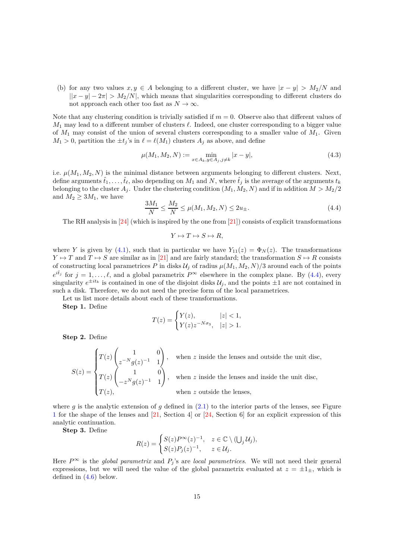(b) for any two values  $x, y \in A$  belonging to a different cluster, we have  $|x - y| > M_2/N$  and  $||x - y| - 2\pi$  *> M*<sub>2</sub>/*N*, which means that singularities corresponding to different clusters do not approach each other too fast as  $N \to \infty$ .

Note that any clustering condition is trivially satisfied if  $m = 0$ . Observe also that different values of *M*<sup>1</sup> may lead to a different number of clusters *ℓ*. Indeed, one cluster corresponding to a bigger value of *M*<sup>1</sup> may consist of the union of several clusters corresponding to a smaller value of *M*1. Given  $M_1 > 0$ , partition the  $\pm t_j$ 's in  $\ell = \ell(M_1)$  clusters  $A_j$  as above, and define

<span id="page-14-1"></span>
$$
\mu(M_1, M_2, N) := \min_{x \in A_k, y \in A_j, j \neq k} |x - y|,\tag{4.3}
$$

i.e.  $\mu(M_1, M_2, N)$  is the minimal distance between arguments belonging to different clusters. Next, define arguments  $\hat{t}_1, \ldots, \hat{t}_\ell$ , also depending on  $M_1$  and  $N$ , where  $\hat{t}_j$  is the average of the arguments  $t_k$ belonging to the cluster  $A_j$ . Under the clustering condition  $(M_1, M_2, N)$  and if in addition  $M > M_2/2$ and  $M_2 \geq 3M_1$ , we have

<span id="page-14-0"></span>
$$
\frac{3M_1}{N} \le \frac{M_2}{N} \le \mu(M_1, M_2, N) \le 2u_{\pm}.
$$
\n(4.4)

The RH analysis in  $[24]$  (which is inspired by the one from  $[21]$ ) consists of explicit transformations

$$
Y\mapsto T\mapsto S\mapsto R,
$$

where *Y* is given by [\(4.1\)](#page-13-0), such that in particular we have  $Y_{11}(z) = \Phi_N(z)$ . The transformations  $Y \mapsto T$  and  $T \mapsto S$  are similar as in [\[21\]](#page-31-0) and are fairly standard; the transformation  $S \mapsto R$  consists of constructing local parametrices  $P$  in disks  $\mathcal{U}_j$  of radius  $\mu(M_1, M_2, N)/3$  around each of the points  $e^{i\hat{t}_j}$  for  $j = 1, ..., \ell$ , and a global parametrix  $P^{\infty}$  elsewhere in the complex plane. By [\(4.4\)](#page-14-0), every singularity  $e^{\pm it_k}$  is contained in one of the disjoint disks  $\mathcal{U}_j$ , and the points  $\pm 1$  are not contained in such a disk. Therefore, we do not need the precise form of the local parametrices.

Let us list more details about each of these transformations.

**Step 1.** Define

$$
T(z) = \begin{cases} Y(z), & |z| < 1, \\ Y(z)z^{-N\sigma_3}, & |z| > 1. \end{cases}
$$

**Step 2.** Define

$$
S(z) = \begin{cases} T(z) \begin{pmatrix} 1 & 0 \\ z^{-N} g(z)^{-1} & 1 \end{pmatrix}, & \text{when } z \text{ inside the lenses and outside the unit disc,} \\ T(z) \begin{pmatrix} 1 & 0 \\ -z^N g(z)^{-1} & 1 \end{pmatrix}, & \text{when } z \text{ inside the lenses and inside the unit disc,} \\ T(z), & \text{when } z \text{ outside the lenses,} \end{cases}
$$

where  $g$  is the analytic extension of  $g$  defined in  $(2.1)$  to the interior parts of the lenses, see Figure [1](#page-15-0) for the shape of the lenses and [\[21,](#page-31-0) Section 4] or [\[24,](#page-31-9) Section 6] for an explicit expression of this analytic continuation.

**Step 3.** Define

$$
R(z) = \begin{cases} S(z)P^{\infty}(z)^{-1}, & z \in \mathbb{C} \setminus (\bigcup_j \mathcal{U}_j), \\ S(z)P_j(z)^{-1}, & z \in \mathcal{U}_j. \end{cases}
$$

Here  $P^{\infty}$  is the *global parametrix* and  $P_i$ 's are *local parametrices*. We will not need their general expressions, but we will need the value of the global parametrix evaluated at  $z = \pm 1_{\pm}$ , which is defined in [\(4.6\)](#page-15-1) below.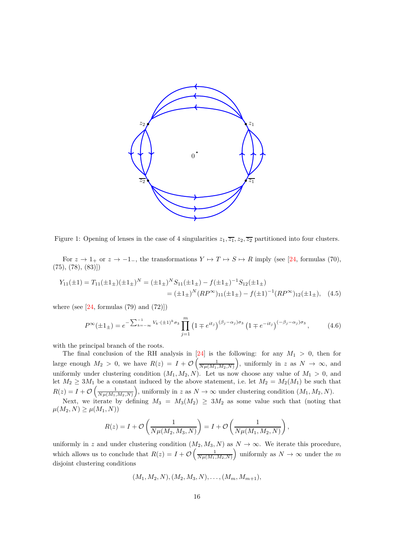

<span id="page-15-0"></span>Figure 1: Opening of lenses in the case of 4 singularities  $z_1, \overline{z_1}, z_2, \overline{z_2}$  partitioned into four clusters.

For  $z \to 1_+$  or  $z \to -1_-,$  the transformations  $Y \to T \to S \to R$  imply (see [\[24,](#page-31-9) formulas (70),  $(75), (78), (83)]$ 

$$
Y_{11}(\pm 1) = T_{11}(\pm 1_{\pm})(\pm 1_{\pm})^N = (\pm 1_{\pm})^N S_{11}(\pm 1_{\pm}) - f(\pm 1_{\pm})^{-1} S_{12}(\pm 1_{\pm})
$$
  
= 
$$
(\pm 1_{\pm})^N (RP^{\infty})_{11}(\pm 1_{\pm}) - f(\pm 1)^{-1} (RP^{\infty})_{12}(\pm 1_{\pm}), \quad (4.5)
$$

where (see  $[24, \text{formulas} (79) \text{ and } (72)]$ )

<span id="page-15-2"></span><span id="page-15-1"></span>
$$
P^{\infty}(\pm 1_{\pm}) = e^{-\sum_{k=-\infty}^{-1} V_k \cdot (\pm 1)^k \sigma_3} \prod_{j=1}^{m} \left(1 \mp e^{it_j}\right)^{(\beta_j - \alpha_j)\sigma_3} \left(1 \mp e^{-it_j}\right)^{(-\beta_j - \alpha_j)\sigma_3},\tag{4.6}
$$

with the principal branch of the roots.

The final conclusion of the RH analysis in  $[24]$  is the following: for any  $M_1 > 0$ , then for large enough  $M_2 > 0$ , we have  $R(z) = I + \mathcal{O}\left(\frac{1}{N\mu(M_1, M_2, N)}\right)$ ), uniformly in *z* as  $N \to \infty$ , and uniformly under clustering condition  $(M_1, M_2, N)$ . Let us now choose any value of  $M_1 > 0$ , and let  $M_2 \geq 3M_1$  be a constant induced by the above statement, i.e. let  $M_2 = M_2(M_1)$  be such that  $R(z) = I + \mathcal{O}\left(\frac{1}{N\mu(M_1, M_2, N)}\right)$ ), uniformly in *z* as  $N \to \infty$  under clustering condition  $(M_1, M_2, N)$ .

Next, we iterate by defining  $M_3 = M_3(M_2) \geq 3M_2$  as some value such that (noting that  $\mu(M_2, N) \geq \mu(M_1, N)$ 

$$
R(z) = I + \mathcal{O}\left(\frac{1}{N\mu(M_2, M_3, N)}\right) = I + \mathcal{O}\left(\frac{1}{N\mu(M_1, M_2, N)}\right),
$$

uniformly in *z* and under clustering condition  $(M_2, M_3, N)$  as  $N \to \infty$ . We iterate this procedure, which allows us to conclude that  $R(z) = I + \mathcal{O}\left(\frac{1}{N\mu(M_1, M_2, N)}\right)$ ) uniformly as  $N \to \infty$  under the  $m$ disjoint clustering conditions

$$
(M_1, M_2, N), (M_2, M_3, N), \ldots, (M_m, M_{m+1}),
$$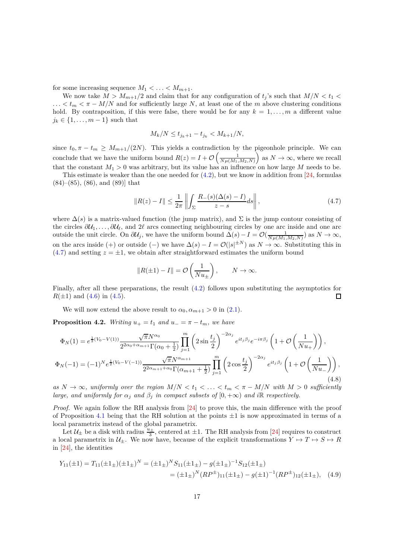for some increasing sequence  $M_1 < \ldots < M_{m+1}$ .

We now take  $M > M_{m+1}/2$  and claim that for any configuration of  $t_i$ 's such that  $M/N < t_1$  $\ldots$  <  $t_m$  <  $\pi$  –  $M/N$  and for sufficiently large N, at least one of the m above clustering conditions hold. By contraposition, if this were false, there would be for any  $k = 1, \ldots, m$  a different value  $j_k \in \{1, \ldots, m-1\}$  such that

$$
M_k/N \le t_{j_k+1} - t_{j_k} < M_{k+1}/N,
$$

since  $t_0, \pi - t_m \geq M_{m+1}/(2N)$ . This yields a contradiction by the pigeonhole principle. We can conclude that we have the uniform bound  $R(z) = I + \mathcal{O}\left(\frac{1}{N\mu(M_1, M_2, N)}\right)$  $\Big)$  as  $N \to \infty$ , where we recall that the constant  $M_1 > 0$  was arbitrary, but its value has an influence on how large M needs to be.

This estimate is weaker than the one needed for  $(4.2)$ , but we know in addition from [\[24,](#page-31-9) formulas (84)–(85), (86), and (89)] that

<span id="page-16-0"></span>
$$
||R(z) - I|| \le \frac{1}{2\pi} \left\| \int_{\Sigma} \frac{R_{-}(s)(\Delta(s) - I)}{z - s} ds \right\|,
$$
\n(4.7)

where  $\Delta(s)$  is a matrix-valued function (the jump matrix), and  $\Sigma$  is the jump contour consisting of the circles *∂*U1*, . . . , ∂*U*ℓ*, and 2*ℓ* arcs connecting neighbouring circles by one arc inside and one arc outside the unit circle. On  $\partial U_j$ , we have the uniform bound  $\Delta(s) - I = \mathcal{O}(\frac{1}{N\mu(M_1, M_2, N)})$  as  $N \to \infty$ , on the arcs inside (+) or outside (−) we have  $\Delta(s) - I = \mathcal{O}(|s|^{\pm N})$  as  $N \to \infty$ . Substituting this in  $(4.7)$  and setting  $z = \pm 1$ , we obtain after straightforward estimates the uniform bound

$$
||R(\pm 1) - I|| = \mathcal{O}\left(\frac{1}{Nu_{\pm}}\right), \qquad N \to \infty.
$$

Finally, after all these preparations, the result [\(4.2\)](#page-13-1) follows upon substituting the asymptotics for  $R(\pm 1)$  and  $(4.6)$  in  $(4.5)$ .  $\Box$ 

We will now extend the above result to  $\alpha_0, \alpha_{m+1} > 0$  in [\(2.1\)](#page-3-1).

<span id="page-16-1"></span>**Proposition 4.2.** *Writing*  $u_+ = t_1$  *and*  $u_- = \pi - t_m$ *, we have* 

$$
\Phi_N(1) = e^{\frac{1}{2}(V_0 - V(1))} \frac{\sqrt{\pi} N^{\alpha_0}}{2^{2\alpha_0 + \alpha_{m+1}} \Gamma(\alpha_0 + \frac{1}{2})} \prod_{j=1}^m \left( 2\sin\frac{t_j}{2} \right)^{-2\alpha_j} e^{it_j \beta_j} e^{-i\pi\beta_j} \left( 1 + \mathcal{O}\left(\frac{1}{Nu_+}\right) \right),
$$
  

$$
\Phi_N(-1) = (-1)^N e^{\frac{1}{2}(V_0 - V(-1))} \frac{\sqrt{\pi} N^{\alpha_{m+1}}}{2^{2\alpha_{m+1} + \alpha_0} \Gamma(\alpha_{m+1} + \frac{1}{2})} \prod_{j=1}^m \left( 2\cos\frac{t_j}{2} \right)^{-2\alpha_j} e^{it_j \beta_j} \left( 1 + \mathcal{O}\left(\frac{1}{Nu_-}\right) \right),
$$
\n(4.8)

*as*  $N \to \infty$ , uniformly over the region  $M/N < t_1 < \ldots < t_m < \pi - M/N$  with  $M > 0$  sufficiently *large, and uniformly for*  $\alpha_j$  *and*  $\beta_j$  *in compact subsets of*  $[0, +\infty)$  *and i*R *respectively.* 

*Proof.* We again follow the RH analysis from [\[24\]](#page-31-9) to prove this, the main difference with the proof of Proposition [4.1](#page-13-2) being that the RH solution at the points  $\pm 1$  is now approximated in terms of a local parametrix instead of the global parametrix.

Let  $\mathcal{U}_{\pm}$  be a disk with radius  $\frac{u_{\pm}}{3}$ , centered at  $\pm 1$ . The RH analysis from [\[24\]](#page-31-9) requires to construct a local parametrix in  $\mathcal{U}_{\pm}$ . We now have, because of the explicit transformations  $Y \mapsto T \mapsto S \mapsto R$ in [\[24\]](#page-31-9), the identities

$$
Y_{11}(\pm 1) = T_{11}(\pm 1_{\pm})(\pm 1_{\pm})^N = (\pm 1_{\pm})^N S_{11}(\pm 1_{\pm}) - g(\pm 1_{\pm})^{-1} S_{12}(\pm 1_{\pm})
$$
  
= 
$$
(\pm 1_{\pm})^N (RP^{\pm})_{11} (\pm 1_{\pm}) - g(\pm 1)^{-1} (RP^{\pm})_{12} (\pm 1_{\pm}), \quad (4.9)
$$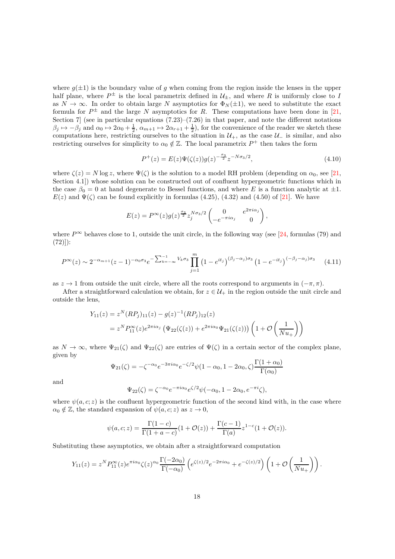where  $g(\pm 1)$  is the boundary value of g when coming from the region inside the lenses in the upper half plane, where  $P^{\pm}$  is the local parametrix defined in  $\mathcal{U}_{\pm}$ , and where  $R$  is uniformly close to  $I$ as  $N \to \infty$ . In order to obtain large *N* asymptotics for  $\Phi_N(\pm 1)$ , we need to substitute the exact formula for  $P^{\pm}$  and the large *N* asymptotics for *R*. These computations have been done in [\[21,](#page-31-0) Section 7 (see in particular equations  $(7.23)$ – $(7.26)$  in that paper, and note the different notations  $\beta_j \mapsto -\beta_j$  and  $\alpha_0 \mapsto 2\alpha_0 + \frac{1}{2}$ ,  $\alpha_{m+1} \mapsto 2\alpha_{r+1} + \frac{1}{2}$ , for the convenience of the reader we sketch these computations here, restricting ourselves to the situation in  $\mathcal{U}_+$ , as the case  $\mathcal{U}_-$  is similar, and also restricting ourselves for simplicity to  $\alpha_0 \notin \mathbb{Z}$ . The local parametrix  $P^+$  then takes the form

$$
P^{+}(z) = E(z)\Psi(\zeta(z))g(z)^{-\frac{\sigma_3}{2}}z^{-N\sigma_3/2},
$$
\n(4.10)

where  $\zeta(z) = N \log z$ , where  $\Psi(\zeta)$  is the solution to a model RH problem (depending on  $\alpha_0$ , see [\[21,](#page-31-0) Section 4.1]) whose solution can be constructed out of confluent hypergeometric functions which in the case  $\beta_0 = 0$  at hand degenerate to Bessel functions, and where *E* is a function analytic at  $\pm 1$ .  $E(z)$  and  $\Psi(\zeta)$  can be found explicitly in formulas (4.25), (4.32) and (4.50) of [\[21\]](#page-31-0). We have

$$
E(z) = P^{\infty}(z)g(z)^{\frac{\sigma_3}{2}}z_j^{N\sigma_3/2}\begin{pmatrix} 0 & e^{2\pi i \alpha_j} \\ -e^{-\pi i \alpha_j} & 0 \end{pmatrix},
$$

where  $P^{\infty}$  behaves close to 1, outside the unit circle, in the following way (see [\[24,](#page-31-9) formulas (79) and  $(72))$ :

$$
P^{\infty}(z) \sim 2^{-\alpha_{m+1}}(z-1)^{-\alpha_0 \sigma_3} e^{-\sum_{k=-\infty}^{-1} V_k \sigma_3} \prod_{j=1}^{m} (1 - e^{it_j})^{(\beta_j - \alpha_j) \sigma_3} (1 - e^{-it_j})^{(-\beta_j - \alpha_j) \sigma_3} \tag{4.11}
$$

as  $z \to 1$  from outside the unit circle, where all the roots correspond to arguments in  $(-\pi, \pi)$ .

After a straightforward calculation we obtain, for  $z \in \mathcal{U}_+$  in the region outside the unit circle and outside the lens,

$$
Y_{11}(z) = z^N (RP_j)_{11}(z) - g(z)^{-1} (RP_j)_{12}(z)
$$
  
=  $z^N P_{11}^{\infty}(z) e^{2\pi i \alpha_j} (\Psi_{22}(\zeta(z)) + e^{2\pi i \alpha_0} \Psi_{21}(\zeta(z))) (1 + \mathcal{O}(\frac{1}{Nu_+}))$ 

as  $N \to \infty$ , where  $\Psi_{21}(\zeta)$  and  $\Psi_{22}(\zeta)$  are entries of  $\Psi(\zeta)$  in a certain sector of the complex plane, given by

$$
\Psi_{21}(\zeta) = -\zeta^{-\alpha_0} e^{-3\pi i \alpha_0} e^{-\zeta/2} \psi (1 - \alpha_0, 1 - 2\alpha_0, \zeta) \frac{\Gamma(1 + \alpha_0)}{\Gamma(\alpha_0)}
$$

and

$$
\Psi_{22}(\zeta) = \zeta^{-\alpha_0} e^{-\pi i \alpha_0} e^{\zeta/2} \psi(-\alpha_0, 1 - 2\alpha_0, e^{-\pi i} \zeta),
$$

where  $\psi(a, c; z)$  is the confluent hypergeometric function of the second kind with, in the case where  $\alpha_0 \notin \mathbb{Z}$ , the standard expansion of  $\psi(a, c; z)$  as  $z \to 0$ ,

$$
\psi(a, c; z) = \frac{\Gamma(1 - c)}{\Gamma(1 + a - c)} (1 + \mathcal{O}(z)) + \frac{\Gamma(c - 1)}{\Gamma(a)} z^{1 - c} (1 + \mathcal{O}(z)).
$$

Substituting these asymptotics, we obtain after a straightforward computation

$$
Y_{11}(z) = z^N P_{11}^{\infty}(z) e^{\pi i \alpha_0} \zeta(z)^{\alpha_0} \frac{\Gamma(-2\alpha_0)}{\Gamma(-\alpha_0)} \left( e^{\zeta(z)/2} e^{-2\pi i \alpha_0} + e^{-\zeta(z)/2} \right) \left( 1 + \mathcal{O}\left(\frac{1}{Nu_+}\right) \right).
$$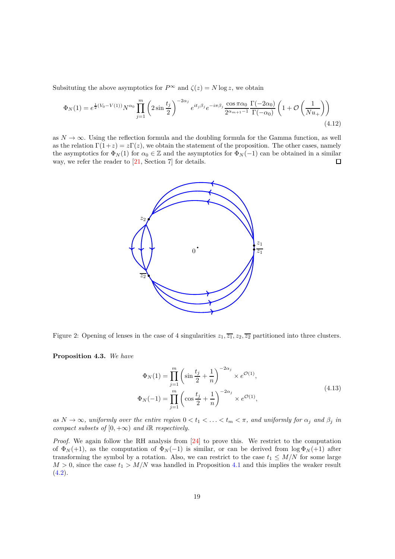Subsituting the above asymptotics for  $P^{\infty}$  and  $\zeta(z) = N \log z$ , we obtain

$$
\Phi_N(1) = e^{\frac{1}{2}(V_0 - V(1))} N^{\alpha_0} \prod_{j=1}^m \left(2\sin\frac{t_j}{2}\right)^{-2\alpha_j} e^{it_j \beta_j} e^{-i\pi \beta_j} \frac{\cos\pi \alpha_0}{2^{\alpha_{m+1}-1}} \frac{\Gamma(-2\alpha_0)}{\Gamma(-\alpha_0)} \left(1 + \mathcal{O}\left(\frac{1}{Nu_+}\right)\right)
$$
\n(4.12)

as  $N \to \infty$ . Using the reflection formula and the doubling formula for the Gamma function, as well as the relation  $\Gamma(1+z) = z\Gamma(z)$ , we obtain the statement of the proposition. The other cases, namely the asymptotics for  $\Phi_N(1)$  for  $\alpha_0 \in \mathbb{Z}$  and the asymptotics for  $\Phi_N(-1)$  can be obtained in a similar way, we refer the reader to [21, Section 7] for details. way, we refer the reader to [\[21,](#page-31-0) Section 7] for details.



<span id="page-18-0"></span>Figure 2: Opening of lenses in the case of 4 singularities  $z_1, \overline{z_1}, z_2, \overline{z_2}$  partitioned into three clusters.

<span id="page-18-1"></span>**Proposition 4.3.** *We have*

$$
\Phi_N(1) = \prod_{j=1}^m \left( \sin \frac{t_j}{2} + \frac{1}{n} \right)^{-2\alpha_j} \times e^{\mathcal{O}(1)},
$$
\n
$$
\Phi_N(-1) = \prod_{j=1}^m \left( \cos \frac{t_j}{2} + \frac{1}{n} \right)^{-2\alpha_j} \times e^{\mathcal{O}(1)},
$$
\n(4.13)

 $as N \to \infty$ , uniformly over the entire region  $0 < t_1 < \ldots < t_m < \pi$ , and uniformly for  $\alpha_j$  and  $\beta_j$  in *compact subsets of*  $[0, +\infty)$  *and i* $\mathbb{R}$  *respectively.* 

*Proof.* We again follow the RH analysis from [\[24\]](#page-31-9) to prove this. We restrict to the computation of  $\Phi_N(+1)$ , as the computation of  $\Phi_N(-1)$  is similar, or can be derived from  $\log \Phi_N(+1)$  after transforming the symbol by a rotation. Also, we can restrict to the case  $t_1 \leq M/N$  for some large  $M > 0$ , since the case  $t_1 > M/N$  was handled in Proposition [4.1](#page-13-2) and this implies the weaker result  $(4.2).$  $(4.2).$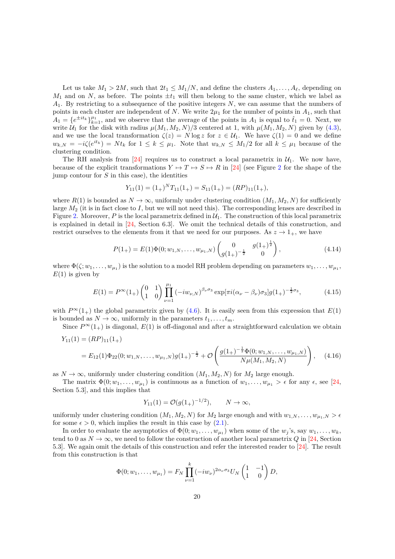Let us take  $M_1 > 2M$ , such that  $2t_1 \leq M_1/N$ , and define the clusters  $A_1, \ldots, A_\ell$ , depending on  $M_1$  and on *N*, as before. The points  $\pm t_1$  will then belong to the same cluster, which we label as *A*1. By restricting to a subsequence of the positive integers *N*, we can assume that the numbers of points in each cluster are independent of *N*. We write  $2\mu_1$  for the number of points in  $A_1$ , such that  $A_1 = \{e^{\pm it_k}\}_{k=1}^{\mu_1}$ , and we observe that the average of the points in  $A_1$  is equal to  $\hat{t}_1 = 0$ . Next, we write  $U_1$  for the disk with radius  $\mu(M_1, M_2, N)/3$  centered at 1, with  $\mu(M_1, M_2, N)$  given by [\(4.3\)](#page-14-1), and we use the local transformation  $\zeta(z) = N \log z$  for  $z \in \mathcal{U}_1$ . We have  $\zeta(1) = 0$  and we define  $w_{k,N} = -i\zeta(e^{it_k}) = Nt_k$  for  $1 \leq k \leq \mu_1$ . Note that  $w_{k,N} \leq M_1/2$  for all  $k \leq \mu_1$  because of the clustering condition.

The RH analysis from [\[24\]](#page-31-9) requires us to construct a local parametrix in  $\mathcal{U}_1$ . We now have, because of the explicit transformations  $Y \mapsto T \mapsto S \mapsto R$  in [\[24\]](#page-31-9) (see Figure [2](#page-18-0) for the shape of the jump contour for *S* in this case), the identities

$$
Y_{11}(1) = (1_+)^{N} T_{11}(1_+) = S_{11}(1_+) = (RP)_{11}(1_+),
$$

where  $R(1)$  is bounded as  $N \to \infty$ , uniformly under clustering condition  $(M_1, M_2, N)$  for sufficiently large *M*<sup>2</sup> (it is in fact close to *I*, but we will not need this). The corresponding lenses are described in Figure [2.](#page-18-0) Moreover,  $P$  is the local parametrix defined in  $\mathcal{U}_1$ . The construction of this local parametrix is explained in detail in [\[24,](#page-31-9) Section 6.3]. We omit the technical details of this construction, and restrict ourselves to the elements from it that we need for our purposes. As  $z \to 1_+$ , we have

$$
P(1_{+}) = E(1)\Phi(0; w_{1,N}, \dots, w_{\mu_{1},N}) \begin{pmatrix} 0 & g(1_{+})^{\frac{1}{2}} \\ g(1_{+})^{-\frac{1}{2}} & 0 \end{pmatrix}, \qquad (4.14)
$$

where  $\Phi(\zeta; w_1, \ldots, w_{\mu_1})$  is the solution to a model RH problem depending on parameters  $w_1, \ldots, w_{\mu_1}$ ,  $E(1)$  is given by

$$
E(1) = P^{\infty}(1_{+}) \begin{pmatrix} 0 & 1 \\ 1 & 0 \end{pmatrix} \prod_{\nu=1}^{\mu_{1}} \left( -iw_{\nu,N} \right)^{\beta_{\nu}\sigma_{3}} \exp[\pi i(\alpha_{\nu} - \beta_{\nu})\sigma_{3}] g(1_{+})^{-\frac{1}{2}\sigma_{3}}, \tag{4.15}
$$

with  $P^{\infty}(1_+)$  the global parametrix given by [\(4.6\)](#page-15-1). It is easily seen from this expression that  $E(1)$ is bounded as  $N \to \infty$ , uniformly in the parameters  $t_1, \ldots, t_m$ .

Since  $P^{\infty}(1_+)$  is diagonal,  $E(1)$  is off-diagonal and after a straightforward calculation we obtain

$$
Y_{11}(1) = (RP)_{11}(1_+)
$$
  
=  $E_{12}(1)\Phi_{22}(0; w_{1,N},..., w_{\mu_1,N})g(1_+)^{-\frac{1}{2}} + \mathcal{O}\left(\frac{g(1_+)^{-\frac{1}{2}}\Phi(0; w_{1,N},..., w_{\mu_1,N})}{N\mu(M_1, M_2, N)}\right),$  (4.16)

as  $N \to \infty$ , uniformly under clustering condition  $(M_1, M_2, N)$  for  $M_2$  large enough.

The matrix  $\Phi(0; w_1, \ldots, w_{\mu_1})$  is continuous as a function of  $w_1, \ldots, w_{\mu_1} > \epsilon$  for any  $\epsilon$ , see [\[24,](#page-31-9) Section 5.3], and this implies that

<span id="page-19-0"></span>
$$
Y_{11}(1) = \mathcal{O}(g(1_+)^{-1/2}), \qquad N \to \infty,
$$

uniformly under clustering condition  $(M_1, M_2, N)$  for  $M_2$  large enough and with  $w_{1,N}, \ldots, w_{\mu_1,N} > \epsilon$ for some  $\epsilon > 0$ , which implies the result in this case by  $(2.1)$ .

In order to evaluate the asymptotics of  $\Phi(0; w_1, \ldots, w_{\mu_1})$  when some of the  $w_j$ 's, say  $w_1, \ldots, w_k$ , tend to 0 as  $N \to \infty$ , we need to follow the construction of another local parametrix *Q* in [\[24,](#page-31-9) Section 5.3]. We again omit the details of this construction and refer the interested reader to [\[24\]](#page-31-9). The result from this construction is that

$$
\Phi(0; w_1, \dots, w_{\mu_1}) = F_N \prod_{\nu=1}^k (-iw_{\nu})^{2\alpha_{\nu}\sigma_3} U_N \begin{pmatrix} 1 & -1 \\ 1 & 0 \end{pmatrix} D,
$$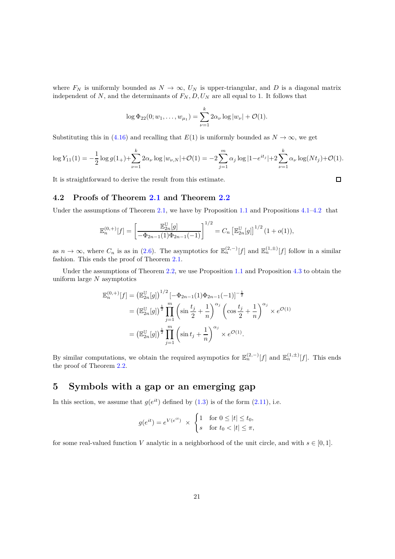where  $F_N$  is uniformly bounded as  $N \to \infty$ ,  $U_N$  is upper-triangular, and D is a diagonal matrix independent of  $N$ , and the determinants of  $F_N, D, U_N$  are all equal to 1. It follows that

$$
\log \Phi_{22}(0; w_1, \ldots, w_{\mu_1}) = \sum_{\nu=1}^k 2\alpha_{\nu} \log |w_{\nu}| + \mathcal{O}(1).
$$

Substituting this in [\(4.16\)](#page-19-0) and recalling that  $E(1)$  is uniformly bounded as  $N \to \infty$ , we get

$$
\log Y_{11}(1) = -\frac{1}{2}\log g(1_+) + \sum_{\nu=1}^k 2\alpha_{\nu} \log |w_{\nu,N}| + \mathcal{O}(1) = -2\sum_{j=1}^m \alpha_j \log |1 - e^{it_j}| + 2\sum_{\nu=1}^k \alpha_{\nu} \log(Nt_j) + \mathcal{O}(1).
$$

It is straightforward to derive the result from this estimate.

**4.2 Proofs of Theorem [2.1](#page-4-0) and Theorem [2.2](#page-5-1)**

Under the assumptions of Theorem [2.1,](#page-4-0) we have by Proposition [1.1](#page-2-0) and Propositions  $4.1-4.2$  $4.1-4.2$  that

$$
\mathbb{E}_n^{(0,+)}[f] = \left[\frac{\mathbb{E}_{2n}^{\mathbb{U}}[g]}{-\Phi_{2n-1}(1)\Phi_{2n-1}(-1)}\right]^{1/2} = C_n \left[\mathbb{E}_{2n}^{\mathbb{U}}[g]\right]^{1/2} (1+o(1)),
$$

as  $n \to \infty$ , where  $C_n$  is as in [\(2.6\)](#page-4-3). The asymptotics for  $\mathbb{E}_n^{(2,-)}[f]$  and  $\mathbb{E}_n^{(1,\pm)}[f]$  follow in a similar fashion. This ends the proof of Theorem [2.1.](#page-4-0)

Under the assumptions of Theorem [2.2,](#page-5-1) we use Proposition [1.1](#page-2-0) and Proposition [4.3](#page-18-1) to obtain the uniform large *N* asymptotics

$$
\mathbb{E}_{n}^{(0,+)}[f] = \left(\mathbb{E}_{2n}^{\mathbb{U}}[g]\right)^{1/2} \left[-\Phi_{2n-1}(1)\Phi_{2n-1}(-1)\right]^{-\frac{1}{2}}
$$

$$
= \left(\mathbb{E}_{2n}^{\mathbb{U}}[g]\right)^{\frac{1}{2}} \prod_{j=1}^{m} \left(\sin\frac{t_j}{2} + \frac{1}{n}\right)^{\alpha_j} \left(\cos\frac{t_j}{2} + \frac{1}{n}\right)^{\alpha_j} \times e^{\mathcal{O}(1)}
$$

$$
= \left(\mathbb{E}_{2n}^{\mathbb{U}}[g]\right)^{\frac{1}{2}} \prod_{j=1}^{m} \left(\sin t_j + \frac{1}{n}\right)^{\alpha_j} \times e^{\mathcal{O}(1)}.
$$

By similar computations, we obtain the required asympotics for  $\mathbb{E}_n^{(2,-)}[f]$  and  $\mathbb{E}_n^{(1,\pm)}[f]$ . This ends the proof of Theorem [2.2.](#page-5-1)

## <span id="page-20-0"></span>**5 Symbols with a gap or an emerging gap**

In this section, we assume that  $g(e^{it})$  defined by  $(1.3)$  is of the form  $(2.11)$ , i.e.

$$
g(e^{it}) = e^{V(e^{it})} \times \begin{cases} 1 & \text{for } 0 \le |t| \le t_0, \\ s & \text{for } t_0 < |t| \le \pi, \end{cases}
$$

for some real-valued function *V* analytic in a neighborhood of the unit circle, and with  $s \in [0, 1]$ .

 $\Box$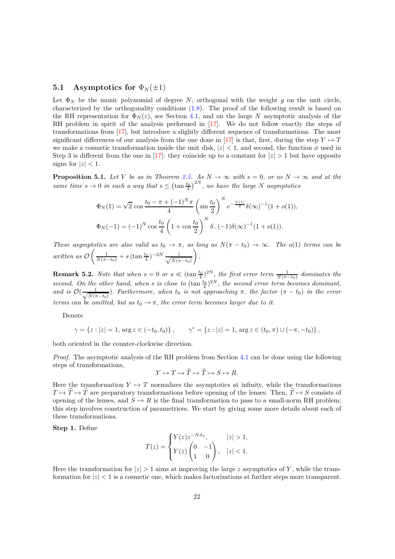### **5.1** Asymptotics for  $\Phi_N(\pm 1)$

Let  $\Phi_N$  be the monic polynomial of degree *N*, orthogonal with the weight *q* on the unit circle, characterized by the orthogonality conditions [\(1.8\)](#page-1-7). The proof of the following result is based on the RH representation for  $\Phi_N(z)$ , see Section [4.1,](#page-13-3) and on the large N asymptotic analysis of the RH problem in spirit of the analysis performed in  $[17]$ . We do not follow exactly the steps of transformations from [\[17\]](#page-31-7), but introduce a slightly different sequence of transformations. The most significant differences of our analysis from the one done in [\[17\]](#page-31-7) is that, first, during the step  $Y \mapsto T$ we make a cosmetic transformation inside the unit disk,  $|z| < 1$ , and second, the function  $\phi$  used in Step 3 is different from the one in [\[17\]](#page-31-7): they coincide up to a constant for  $|z| > 1$  but have opposite signs for  $|z| < 1$ .

<span id="page-21-0"></span>**Proposition 5.1.** *Let V be as in Theorem [2.5.](#page-6-0) As*  $N \to \infty$  *with*  $s = 0$ *, or as*  $N \to \infty$  *and at the same time*  $s \to 0$  *in such a way that*  $s \leq (\tan \frac{t_0}{4})^{2N}$ , we have the large *N asymptotics* 

$$
\Phi_N(1) = \sqrt{2} \cos \frac{t_0 - \pi + (-1)^N \pi}{4} \left( \sin \frac{t_0}{2} \right)^N e^{-\frac{V(1)}{2}} \delta(\infty)^{-1} (1 + o(1)),
$$
  

$$
\Phi_N(-1) = (-1)^N \cos \frac{t_0}{4} \left( 1 + \cos \frac{t_0}{2} \right)^N \delta_{-}(-1) \delta(\infty)^{-1} (1 + o(1)).
$$

*These asymptotics are also valid as*  $t_0 \rightarrow \pi$ , as long as  $N(\pi - t_0) \rightarrow \infty$ . The  $o(1)$  *terms can be written as* O  $\left(\frac{1}{N(\pi - t_0)} + s \left(\tan \frac{t_0}{4}\right)^{-2N} \frac{1}{\sqrt{N(\pi - t_0)}}\right)$  $N(\pi - t_0)$  $\overline{ }$ *.*

**Remark 5.2.** *Note that when*  $s = 0$  *or*  $s \ll (\tan \frac{t_0}{4})^{2N}$ , the first error term  $\frac{1}{N(\pi - t_0)}$  dominates the *second.* On the other hand, when *s* is close to  $(\tan \frac{t_0}{4})^{2N}$ , the second error term becomes dominant, *and is*  $\mathcal{O}(\frac{1}{\sqrt{N(\pi$  $\frac{1}{N(\pi - t_0)}$ . *Furthermore, when*  $t_0$  *is not approaching*  $\pi$ *, the factor* ( $\pi - t_0$ ) *in the error terms can be omitted, but as*  $t_0 \rightarrow \pi$ , the error term becomes larger due to it.

Denote

$$
\gamma = \{ z : |z| = 1, \arg z \in (-t_0, t_0) \}, \qquad \gamma^c = \{ z : |z| = 1, \arg z \in (t_0, \pi) \cup (-\pi, -t_0) \},
$$

both oriented in the counter-clockwise direction.

*Proof.* The asymptotic analysis of the RH problem from Section [4.1](#page-13-3) can be done using the following steps of transformations,

$$
Y \mapsto T \mapsto \widehat{T} \mapsto \widetilde{T} \mapsto S \mapsto R.
$$

Here the transformation  $Y \mapsto T$  normalizes the asymptotics at infinity, while the transformations  $T \mapsto \hat{T} \mapsto \hat{T}$  are preparatory transformations before opening of the lenses. Then,  $\hat{T} \mapsto S$  consists of opening of the lenses, and  $S \mapsto R$  is the final transformation to pass to a small-norm RH problem; this step involves construction of parametrices. We start by giving some more details about each of these transformations.

**Step 1.** Define

$$
T(z) = \begin{cases} Y(z)z^{-N\sigma_3}, & |z| > 1, \\ Y(z) \begin{pmatrix} 0 & -1 \\ 1 & 0 \end{pmatrix}, & |z| < 1. \end{cases}
$$

Here the transformation for  $|z| > 1$  aims at improving the large *z* asymptotics of *Y*, while the transformation for  $|z| < 1$  is a cosmetic one, which makes factorizations at further steps more transparent.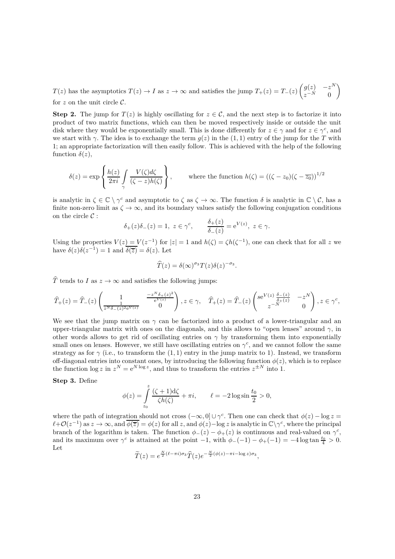*T*(*z*) has the asymptotics  $T(z) \to I$  as  $z \to \infty$  and satisfies the jump  $T_+(z) = T_-(z)$  $\int g(z) \quad -z^N$ *z* <sup>−</sup>*<sup>N</sup>* 0  $\overline{\phantom{0}}$ for  $z$  on the unit circle  $\mathcal{C}$ .

**Step 2.** The jump for  $T(z)$  is highly oscillating for  $z \in \mathcal{C}$ , and the next step is to factorize it into product of two matrix functions, which can then be moved respectively inside or outside the unit disk where they would be exponentially small. This is done differently for  $z \in \gamma$  and for  $z \in \gamma^c$ , and we start with *γ*. The idea is to exchange the term  $g(z)$  in the (1, 1) entry of the jump for the *T* with 1; an appropriate factorization will then easily follow. This is achieved with the help of the following function  $\delta(z)$ ,

$$
\delta(z) = \exp\left\{\frac{h(z)}{2\pi i} \int\limits_{\gamma} \frac{V(\zeta)d\zeta}{(\zeta-z)h(\zeta)}\right\}, \qquad \text{where the function } h(\zeta) = ((\zeta - z_0)(\zeta - \overline{z_0}))^{1/2}
$$

is analytic in  $\zeta \in \mathbb{C} \setminus \gamma^c$  and asymptotic to  $\zeta$  as  $\zeta \to \infty$ . The function  $\delta$  is analytic in  $\mathbb{C} \setminus \mathcal{C}$ , has a finite non-zero limit as  $\zeta \to \infty$ , and its boundary values satisfy the following conjugation conditions on the circle  $\mathcal{C}$ :

$$
\delta_+(z)\delta_-(z) = 1, \ z \in \gamma^c, \qquad \frac{\delta_+(z)}{\delta_-(z)} = e^{V(z)}, \ z \in \gamma.
$$

Using the properties  $V(z) = V(z^{-1})$  for  $|z| = 1$  and  $h(\zeta) = \zeta h(\zeta^{-1})$ , one can check that for all *z* we have  $\delta(z)\delta(z^{-1}) = 1$  and  $\overline{\delta(\overline{z})} = \delta(z)$ . Let

$$
\widehat{T}(z) = \delta(\infty)^{\sigma_3} T(z) \delta(z)^{-\sigma_3}.
$$

 $\hat{T}$  tends to *I* as  $z \to \infty$  and satisfies the following jumps:

$$
\widehat{T}_{+}(z) = \widehat{T}_{-}(z) \begin{pmatrix} 1 & \frac{-z^{N} \delta_{+}(z)^{2}}{e^{V(z)}} \\ \frac{1}{z^{N} \delta_{-}(z)^{2} e^{V(z)}} & 0 \end{pmatrix}, z \in \gamma, \quad \widehat{T}_{+}(z) = \widehat{T}_{-}(z) \begin{pmatrix} s e^{V(z)} \frac{\delta_{-}(z)}{\delta_{+}(z)} & -z^{N} \\ z^{-N} & 0 \end{pmatrix}, z \in \gamma^{c},
$$

We see that the jump matrix on  $\gamma$  can be factorized into a product of a lower-triangular and an upper-triangular matrix with ones on the diagonals, and this allows to "open lenses" around *γ,* in other words allows to get rid of oscillating entries on  $\gamma$  by transforming them into exponentially small ones on lenses. However, we still have oscillating entries on  $\gamma^c$ , and we cannot follow the same strategy as for  $\gamma$  (i.e., to transform the (1, 1) entry in the jump matrix to 1). Instead, we transform off-diagonal entries into constant ones, by introducing the following function  $\phi(z)$ , which is to replace the function  $\log z$  in  $z^N = e^{N \log z}$ , and thus to transform the entries  $z^{\pm N}$  into 1.

**Step 3.** Define

$$
\phi(z) = \int_{z_0}^{z} \frac{(\zeta + 1)d\zeta}{\zeta h(\zeta)} + \pi i, \qquad \ell = -2\log \sin \frac{t_0}{2} > 0,
$$

where the path of integration should not cross  $(-\infty, 0] \cup \gamma^c$ . Then one can check that  $\phi(z) - \log z =$  $\ell + \mathcal{O}(z^{-1})$  as  $z \to \infty$ , and  $\overline{\phi(\overline{z})} = \phi(z)$  for all *z*, and  $\phi(z)$  – log *z* is analytic in  $\mathbb{C}\setminus\gamma^c$ , where the principal branch of the logarithm is taken. The function  $\phi_-(z) - \phi_+(z)$  is continuous and real-valued on  $\gamma^c$ , and its maximum over  $\gamma^c$  is attained at the point  $-1$ , with  $\phi$ <sub>−</sub>(−1) –  $\phi$ <sub>+</sub>(−1) = −4 log tan  $\frac{t_0}{4} > 0$ . Let

$$
\widetilde{T}(z) = e^{\frac{N}{2}(\ell - \pi i)\sigma_3} \widehat{T}(z) e^{-\frac{N}{2}(\phi(z) - \pi i - \log z)\sigma_3},
$$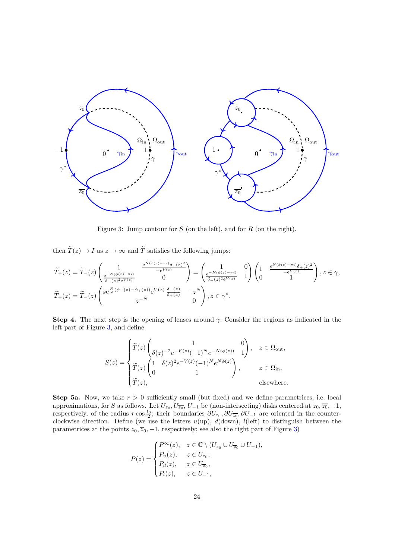

<span id="page-23-0"></span>Figure 3: Jump contour for *S* (on the left), and for *R* (on the right).

then  $\widetilde{T}(z) \to I$  as  $z \to \infty$  and  $\widetilde{T}$  satisfies the following jumps:

$$
\widetilde{T}_{+}(z) = \widetilde{T}_{-}(z) \begin{pmatrix} 1 & \frac{\mathrm{e}^{N(\phi(z) - \pi i)} \delta_{+}(z)^{2}}{-\mathrm{e}^{V(z)}} \\ \frac{\mathrm{e}^{-N(\phi(z) - \pi i)}}{\delta_{-}(z)^{2} \mathrm{e}^{V(z)}} & 0 \end{pmatrix} = \begin{pmatrix} 1 & 0 \\ \frac{\mathrm{e}^{-N(\phi(z) - \pi i)}}{\delta_{-}(z)^{2} \mathrm{e}^{V(z)}} & 1 \end{pmatrix} \begin{pmatrix} 1 & \frac{\mathrm{e}^{N(\phi(z) - \pi i)} \delta_{+}(z)^{2}}{-\mathrm{e}^{V(z)}} \\ 0 & 1 \end{pmatrix}, z \in \gamma,
$$
\n
$$
\widetilde{T}_{+}(z) = \widetilde{T}_{-}(z) \begin{pmatrix} s\mathrm{e}^{\frac{N}{2}(\phi_{-}(z) - \phi_{+}(z))} \mathrm{e}^{V(z)} \frac{\delta_{-}(z)}{\delta_{+}(z)} & -z^{N} \\ z^{-N} & 0 \end{pmatrix}, z \in \gamma^{c}.
$$

**Step 4.** The next step is the opening of lenses around  $\gamma$ . Consider the regions as indicated in the left part of Figure [3,](#page-23-0) and define

$$
S(z) = \begin{cases} \widetilde{T}(z) \begin{pmatrix} 1 & 0 \\ \delta(z)^{-2}e^{-V(z)}(-1)^N e^{-N(\phi(z))} & 1 \end{pmatrix}, & z \in \Omega_{\text{out}}, \\ \widetilde{T}(z) \begin{pmatrix} 1 & \delta(z)^2 e^{-V(z)} (-1)^N e^{N\phi(z)} \\ 0 & 1 \end{pmatrix}, & z \in \Omega_{\text{in}}, \\ \widetilde{T}(z), & \text{elsewhere.} \end{cases}
$$

**Step 5a.** Now, we take  $r > 0$  sufficiently small (but fixed) and we define parametrices, i.e. local approximations, for *S* as follows. Let  $U_{z_0}, U_{\overline{z_0}}, U_{-1}$  be (non-intersecting) disks centered at  $z_0, \overline{z_0}, -1$ , respectively, of the radius  $r \cos \frac{t_0}{2}$ ; their boundaries  $\partial U_{z_0}, \partial U_{\overline{z_0}}, \partial U_{-1}$  are oriented in the counterclockwise direction. Define (we use the letters *u*(up), *d*(down), *l*(left) to distinguish between the parametrices at the points  $z_0$ ,  $\overline{z}_0$ ,  $-1$ , respectively; see also the right part of Figure [3\)](#page-23-0)

$$
P(z) = \begin{cases} P^{\infty}(z), & z \in \mathbb{C} \setminus (U_{z_0} \cup U_{\overline{z}_0} \cup U_{-1}), \\ P_u(z), & z \in U_{z_0}, \\ P_d(z), & z \in U_{\overline{z}_0}, \\ P_l(z), & z \in U_{-1}, \end{cases}
$$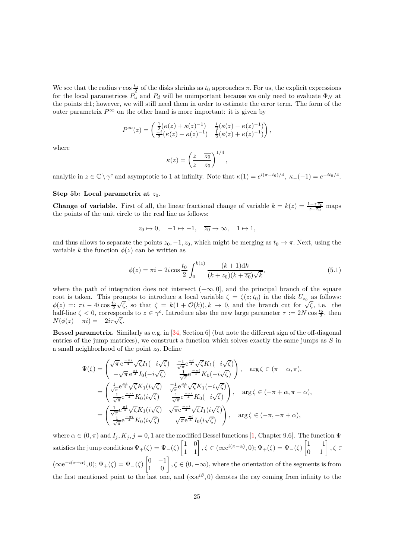We see that the radius  $r \cos \frac{t_0}{2}$  of the disks shrinks as  $t_0$  approaches  $\pi$ . For us, the explicit expressions for the local parametrices  $P^2_u$  and  $P_d$  will be unimportant because we only need to evaluate  $\Phi_N$  at the points  $\pm 1$ ; however, we will still need them in order to estimate the error term. The form of the outer parametrix  $P^{\infty}$  on the other hand is more important: it is given by

$$
P^{\infty}(z) = \begin{pmatrix} \frac{1}{2}(\kappa(z) + \kappa(z)^{-1}) & \frac{i}{2}(\kappa(z) - \kappa(z)^{-1}) \\ \frac{-i}{2}(\kappa(z) - \kappa(z)^{-1}) & \frac{1}{2}(\kappa(z) + \kappa(z)^{-1}) \end{pmatrix},
$$

where

$$
\kappa(z) = \left(\frac{z - \overline{z_0}}{z - z_0}\right)^{1/4},
$$

analytic in  $z \in \mathbb{C} \setminus \gamma^c$  and asymptotic to 1 at infinity. Note that  $\kappa(1) = e^{i(\pi - t_0)/4}$ ,  $\kappa_ -(-1) = e^{-it_0/4}$ .

#### **Step 5b:** Local parametrix at  $z_0$ .

**Change of variable.** First of all, the linear fractional change of variable  $k = k(z) = \frac{1-z\overline{z_0}}{z-\overline{z_0}}$  maps the points of the unit circle to the real line as follows:

$$
z_0 \mapsto 0
$$
,  $-1 \mapsto -1$ ,  $\overline{z_0} \to \infty$ ,  $1 \mapsto 1$ ,

and thus allows to separate the points  $z_0$ ,  $-1$ ,  $\overline{z_0}$ , which might be merging as  $t_0 \to \pi$ . Next, using the variable *k* the function  $\phi(z)$  can be written as

<span id="page-24-0"></span>
$$
\phi(z) = \pi i - 2i \cos \frac{t_0}{2} \int_0^{k(z)} \frac{(k+1) \mathrm{d}k}{(k+z_0)(k+\overline{z_0})\sqrt{k}},\tag{5.1}
$$

where the path of integration does not intersect (−∞*,* 0]*,* and the principal branch of the square root is taken. This prompts to introduce a local variable  $\zeta = \zeta(z;t_0)$  in the disk  $U_{z_0}$  as follows:  $\phi(z) =: \pi i - 4i \cos \frac{t_0}{2} \sqrt{\zeta}$ , so that  $\zeta = k(1 + \mathcal{O}(k)), k \to 0$ , and the branch cut for  $\sqrt{\zeta}$ , i.e. the half-line  $\zeta < 0$ , corresponds to  $z \in \gamma^c$ . Introduce also the new large parameter  $\tau := 2N \cos \frac{t_0}{2}$ , then  $N(\phi(z) - \pi i) = -2i\tau\sqrt{\zeta}.$ 

**Bessel parametrix.** Similarly as e.g. in [\[34,](#page-32-15) Section 6] (but note the different sign of the off-diagonal entries of the jump matrices), we construct a function which solves exactly the same jumps as *S* in a small neighborhood of the point  $z_0$ . Define

$$
\Psi(\zeta) = \begin{pmatrix}\n\sqrt{\pi} e^{\frac{-\pi i}{4}} \sqrt{\zeta} I_1(-i\sqrt{\zeta}) & \frac{-1}{\sqrt{\pi}} e^{\frac{\pi i}{4}} \sqrt{\zeta} K_1(-i\sqrt{\zeta}) \\
-\sqrt{\pi} e^{\frac{\pi i}{4}} I_0(-i\sqrt{\zeta}) & \frac{1}{\sqrt{\pi}} e^{\frac{-\pi i}{4}} K_0(-i\sqrt{\zeta})\n\end{pmatrix}, \quad \arg \zeta \in (\pi - \alpha, \pi),
$$
\n
$$
= \begin{pmatrix}\n\frac{1}{\sqrt{\pi}} e^{\frac{\pi i}{4}} \sqrt{\zeta} K_1(i\sqrt{\zeta}) & \frac{-1}{\sqrt{\pi}} e^{\frac{\pi i}{4}} \sqrt{\zeta} K_1(-i\sqrt{\zeta}) \\
\frac{1}{\sqrt{\pi}} e^{\frac{-\pi i}{4}} K_0(i\sqrt{\zeta}) & \frac{1}{\sqrt{\pi}} e^{\frac{-\pi i}{4}} K_0(-i\sqrt{\zeta})\n\end{pmatrix}, \quad \arg \zeta \in (-\pi + \alpha, \pi - \alpha),
$$
\n
$$
= \begin{pmatrix}\n\frac{1}{\sqrt{\pi}} e^{\frac{\pi i}{4}} \sqrt{\zeta} K_1(i\sqrt{\zeta}) & \sqrt{\pi} e^{\frac{-\pi i}{4}} \sqrt{\zeta} I_1(i\sqrt{\zeta}) \\
\frac{1}{\sqrt{\pi}} e^{\frac{-\pi i}{4}} K_0(i\sqrt{\zeta}) & \sqrt{\pi} e^{\frac{\pi i}{4}} I_0(i\sqrt{\zeta})\n\end{pmatrix}, \quad \arg \zeta \in (-\pi, -\pi + \alpha),
$$

where  $\alpha \in (0, \pi)$  and  $I_j$ ,  $K_j$ ,  $j = 0, 1$  are the modified Bessel functions [\[1,](#page-30-8) Chapter 9.6]. The function  $\Psi$ satisfies the jump conditions  $\Psi_+(\zeta) = \Psi_-(\zeta)$  $\begin{bmatrix} 1 & 0 \\ 1 & 1 \end{bmatrix}, \zeta \in (\infty \mathrm{e}^{i(\pi - \alpha)}, 0); \Psi_+(\zeta) = \Psi_-(\zeta)$  $\begin{bmatrix} 1 & -1 \\ 0 & 1 \end{bmatrix}$ ,  $\zeta \in$  $(\infty e^{-i(\pi + \alpha)}, 0); \Psi_+(\zeta) = \Psi_-(\zeta)$  $\begin{bmatrix} 0 & -1 \\ 1 & 0 \end{bmatrix}$ ,  $\zeta \in (0, -\infty)$ , where the orientation of the segments is from the first mentioned point to the last one, and  $(\infty e^{i\beta}, 0)$  denotes the ray coming from infinity to the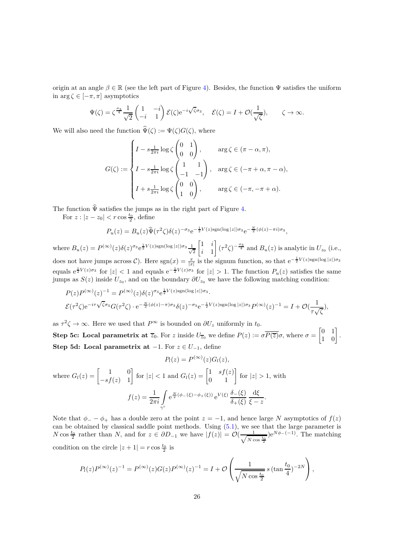origin at an angle  $\beta \in \mathbb{R}$  (see the left part of Figure [4\)](#page-26-0). Besides, the function  $\Psi$  satisfies the uniform in  $\arg \zeta \in [-\pi, \pi]$  asymptotics

$$
\Psi(\zeta) = \zeta^{\frac{\sigma_3}{4}} \frac{1}{\sqrt{2}} \begin{pmatrix} 1 & -i \\ -i & 1 \end{pmatrix} \mathcal{E}(\zeta) e^{-i\sqrt{\zeta}\sigma_3}, \quad \mathcal{E}(\zeta) = I + \mathcal{O}(\frac{1}{\sqrt{\zeta}}), \qquad \zeta \to \infty.
$$

We will also need the function  $\hat{\Psi}(\zeta) := \Psi(\zeta)G(\zeta)$ , where

$$
G(\zeta) := \begin{cases} I - s \frac{1}{2\pi i} \log \zeta \begin{pmatrix} 0 & 1 \\ 0 & 0 \end{pmatrix}, & \arg \zeta \in (\pi - \alpha, \pi), \\ I - s \frac{1}{2\pi i} \log \zeta \begin{pmatrix} 1 & 1 \\ -1 & -1 \end{pmatrix}, & \arg \zeta \in (-\pi + \alpha, \pi - \alpha), \\ I + s \frac{1}{2\pi i} \log \zeta \begin{pmatrix} 0 & 0 \\ 1 & 0 \end{pmatrix}, & \arg \zeta \in (-\pi, -\pi + \alpha). \end{cases}
$$

The function  $\hat{\Psi}$  satisfies the jumps as in the right part of Figure [4.](#page-26-0)

For  $z: |z - z_0| < r \cos \frac{t_0}{2}$ , define

$$
P_u(z) = B_u(z)\hat{\Psi}(\tau^2 \zeta) \delta(z)^{-\sigma_3} e^{-\frac{1}{2}V(z)sgn(\log|z|)\sigma_3} e^{-\frac{N}{2}(\phi(z)-\pi i)\sigma_3},
$$

where  $B_u(z) = P^{(\infty)}(z) \delta(z)^{\sigma_3} e^{\frac{1}{2} V(z) \text{sgn}(\log|z|) \sigma_3} \frac{1}{\sqrt{2}}$ 2 1 *i i* 1 1  $(\tau^2 \zeta)^{-\frac{\sigma_3}{4}}$  and  $B_u(z)$  is analytic in  $U_{z_0}$  (i.e., does not have jumps across  $C$ ). Here  $sgn(x) = \frac{x}{|x|}$  is the signum function, so that  $e^{-\frac{1}{2}V(z)sgn(\log|z|)\sigma_3}$ equals  $e^{\frac{1}{2}V(z)\sigma_3}$  for  $|z| < 1$  and equals  $e^{-\frac{1}{2}V(z)\sigma_3}$  for  $|z| > 1$ . The function  $P_u(z)$  satisfies the same jumps as  $S(z)$  inside  $U_{z_0}$ , and on the boundary  $\partial U_{z_0}$  we have the following matching condition:

$$
P(z)P^{(\infty)}(z)^{-1} = P^{(\infty)}(z)\delta(z)^{\sigma_3}e^{\frac{1}{2}V(z)\text{sgn}(\log|z|)\sigma_3}.
$$
  

$$
\mathcal{E}(\tau^2\zeta)e^{-i\tau\sqrt{\zeta}\sigma_3}G(\tau^2\zeta) \cdot e^{-\frac{N}{2}(\phi(z)-\pi)\sigma_3}\delta(z)^{-\sigma_3}e^{-\frac{1}{2}V(z)\text{sgn}(\log|z|)\sigma_3}P^{(\infty)}(z)^{-1} = I + \mathcal{O}(\frac{1}{\tau\sqrt{\zeta}}),
$$

as  $\tau^2 \zeta \to \infty$ . Here we used that  $P^{\infty}$  is bounded on  $\partial U_z$  uniformly in  $t_0$ . **Step 5c:** Local parametrix at  $\overline{z}_0$ . For *z* inside  $U_{\overline{z}_0}$  we define  $P(z) := \sigma P(\overline{z})\sigma$ , where  $\sigma =$  $\begin{bmatrix} 0 & 1 \\ 1 & 0 \end{bmatrix}$ . **Step 5d:** Local parametrix at  $-1$ . For  $z \in U_{-1}$ , define

$$
P_l(z) = P^{(\infty)}(z)G_l(z),
$$

where 
$$
G_l(z) = \begin{bmatrix} 1 & 0 \ -sf(z) & 1 \end{bmatrix}
$$
 for  $|z| < 1$  and  $G_l(z) = \begin{bmatrix} 1 & sf(z) \ 0 & 1 \end{bmatrix}$  for  $|z| > 1$ , with  
\n
$$
f(z) = \frac{1}{2\pi i} \int_{\gamma^c} e^{\frac{N}{2}(\phi_-(\xi) - \phi_+(\xi))} e^{V(\xi)} \frac{\delta_-(\xi)}{\delta_+(\xi)} \frac{d\xi}{\xi - z}.
$$

Note that  $\phi$ <sub>-</sub> −  $\phi$ <sub>+</sub> has a double zero at the point  $z = -1$ , and hence large *N* asymptotics of  $f(z)$ can be obtained by classical saddle point methods. Using [\(5.1\)](#page-24-0), we see that the large parameter is *N* cos  $\frac{t_0}{2}$  rather than *N*, and for  $z \in \partial D_{-1}$  we have  $|f(z)| = \mathcal{O}(\frac{1}{\sqrt{Nc}})$ *N* cos  $\frac{t_0}{2}$  $(e^{N\phi_{-}(-1)}$ . The matching condition on the circle  $|z+1| = r \cos \frac{t_0}{2}$  is

$$
P_l(z)P^{(\infty)}(z)^{-1} = P^{(\infty)}(z)G(z)P^{(\infty)}(z)^{-1} = I + \mathcal{O}\left(\frac{1}{\sqrt{N\cos\frac{t_0}{2}}}s\left(\tan\frac{t_0}{4}\right)^{-2N}\right),\,
$$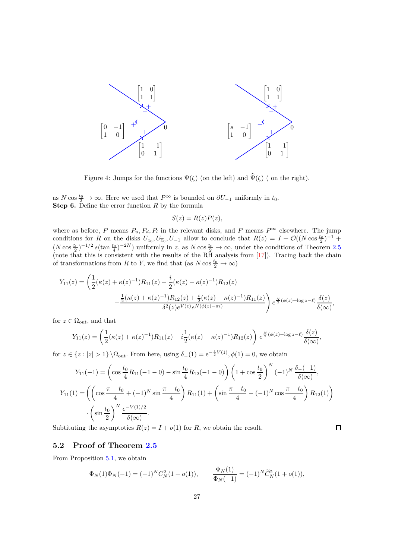

<span id="page-26-0"></span>Figure 4: Jumps for the functions  $\Psi(\zeta)$  (on the left) and  $\widehat{\Psi}(\zeta)$  (on the right).

as *N* cos  $\frac{t_0}{2} \to \infty$ . Here we used that  $P^{\infty}$  is bounded on  $\partial U_{-1}$  uniformly in  $t_0$ . **Step 6.** Define the error function *R* by the formula

$$
S(z) = R(z)P(z),
$$

where as before, *P* means  $P_u$ ,  $P_d$ ,  $P_l$  in the relevant disks, and *P* means  $P^{\infty}$  elsewhere. The jump conditions for *R* on the disks  $U_{z_0}, U_{\overline{z}_0}, U_{-1}$  allow to conclude that  $R(z) = I + \mathcal{O}((N \cos \frac{t_0}{2})^{-1} +$  $(N \cos \frac{t_0}{2})^{-1/2} s(\tan \frac{t_0}{4})^{-2N}$  uniformly in *z*, as  $N \cos \frac{t_0}{2} \to \infty$ , under the conditions of Theorem [2.5](#page-6-0) (note that this is consistent with the results of the RH analysis from  $[17]$ ). Tracing back the chain of transformations from *R* to *Y*, we find that (as  $N \cos \frac{t_0}{2} \to \infty$ )

$$
Y_{11}(z) = \left(\frac{1}{2}(\kappa(z) + \kappa(z)^{-1})R_{11}(z) - \frac{i}{2}(\kappa(z) - \kappa(z)^{-1})R_{12}(z) - \frac{i}{2}(\kappa(z) + \kappa(z)^{-1})R_{12}(z) + \frac{i}{2}(\kappa(z) - \kappa(z)^{-1})R_{11}(z)\right) e^{\frac{N}{2}(\phi(z) + \log z - \ell)} \frac{\delta(z)}{\delta(\infty)},
$$

for  $z \in \Omega_{\text{out}}$ , and that

$$
Y_{11}(z) = \left(\frac{1}{2}(\kappa(z) + \kappa(z)^{-1})R_{11}(z) - i\frac{1}{2}(\kappa(z) - \kappa(z)^{-1})R_{12}(z)\right)e^{\frac{N}{2}(\phi(z) + \log z - \ell)}\frac{\delta(z)}{\delta(\infty)},
$$

for  $z \in \{z : |z| > 1\} \setminus \Omega_{\text{out}}$ . From here, using  $\delta_-(1) = e^{-\frac{1}{2}V(1)}$ ,  $\phi(1) = 0$ , we obtain

$$
Y_{11}(-1) = \left(\cos\frac{t_0}{4}R_{11}(-1-0) - \sin\frac{t_0}{4}R_{12}(-1-0)\right)\left(1 + \cos\frac{t_0}{2}\right)^N (-1)^N \frac{\delta_{-}(-1)}{\delta(\infty)},
$$
  
\n
$$
Y_{11}(1) = \left(\left(\cos\frac{\pi - t_0}{4} + (-1)^N \sin\frac{\pi - t_0}{4}\right)R_{11}(1) + \left(\sin\frac{\pi - t_0}{4} - (-1)^N \cos\frac{\pi - t_0}{4}\right)R_{12}(1)\right)
$$
  
\n
$$
\cdot \left(\sin\frac{t_0}{2}\right)^N \frac{e^{-V(1)/2}}{\delta(\infty)}.
$$
  
\nbititting the asymptotics  $R(z) = I + o(1)$  for R, we obtain the result.

Subtituting the asymptotics  $R(z) = I + o(1)$  for *R*, we obtain the result.

#### **5.2 Proof of Theorem [2.5](#page-6-0)**

From Proposition [5.1,](#page-21-0) we obtain

$$
\Phi_N(1)\Phi_N(-1) = (-1)^N C_N^2 (1 + o(1)), \qquad \frac{\Phi_N(1)}{\Phi_N(-1)} = (-1)^N \widetilde{C}_N^2 (1 + o(1)),
$$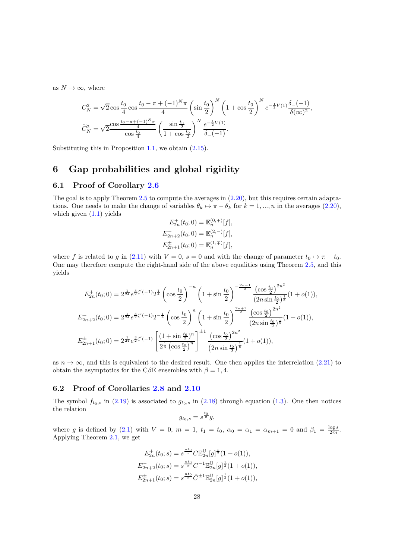as  $N \to \infty$ , where

$$
C_N^2 = \sqrt{2} \cos \frac{t_0}{4} \cos \frac{t_0 - \pi + (-1)^N \pi}{4} \left( \sin \frac{t_0}{2} \right)^N \left( 1 + \cos \frac{t_0}{2} \right)^N e^{-\frac{1}{2}V(1)} \frac{\delta_-(1)}{\delta(\infty)^2},
$$
  

$$
\widetilde{C}_N^2 = \sqrt{2} \frac{\cos \frac{t_0 - \pi + (-1)^N \pi}{4}}{\cos \frac{t_0}{4}} \left( \frac{\sin \frac{t_0}{2}}{1 + \cos \frac{t_0}{2}} \right)^N \frac{e^{-\frac{1}{2}V(1)}}{\delta_-(1)}.
$$

Substituting this in Proposition [1.1,](#page-2-0) we obtain [\(2.15\)](#page-6-4).

## <span id="page-27-0"></span>**6 Gap probabilities and global rigidity**

### <span id="page-27-1"></span>**6.1 Proof of Corollary [2.6](#page-8-1)**

The goal is to apply Theorem [2.5](#page-6-0) to compute the averages in [\(2.20\)](#page-8-2), but this requires certain adaptations. One needs to make the change of variables  $\theta_k \mapsto \pi - \theta_k$  for  $k = 1, ..., n$  in the averages [\(2.20\)](#page-8-2), which given  $(1.1)$  yields

$$
E_{2n}^{+}(t_0; 0) = \mathbb{E}_n^{(0,+)}[f],
$$
  
\n
$$
E_{2n+2}^{-}(t_0; 0) = \mathbb{E}_n^{(2,-)}[f],
$$
  
\n
$$
E_{2n+1}^{\pm}(t_0; 0) = \mathbb{E}_n^{(1,\mp)}[f],
$$

where *f* is related to *g* in [\(2.11\)](#page-6-2) with  $V = 0$ ,  $s = 0$  and with the change of parameter  $t_0 \mapsto \pi - t_0$ . One may therefore compute the right-hand side of the above equalities using Theorem [2.5,](#page-6-0) and this yields

$$
E_{2n}^{+}(t_{0};0) = 2^{\frac{1}{24}} e^{\frac{3}{2}\zeta'(-1)} 2^{\frac{1}{4}} \left(\cos\frac{t_{0}}{2}\right)^{-n} \left(1 + \sin\frac{t_{0}}{2}\right)^{-\frac{2n-1}{2}} \frac{\left(\cos\frac{t_{0}}{2}\right)^{2n^{2}}}{\left(2n\sin\frac{t_{0}}{2}\right)^{\frac{1}{8}}} (1 + o(1)),
$$
  
\n
$$
E_{2n+2}^{-}(t_{0};0) = 2^{\frac{1}{24}} e^{\frac{3}{2}\zeta'(-1)} 2^{-\frac{1}{4}} \left(\cos\frac{t_{0}}{2}\right)^{n} \left(1 + \sin\frac{t_{0}}{2}\right)^{\frac{2n+1}{2}} \frac{\left(\cos\frac{t_{0}}{2}\right)^{2n^{2}}}{\left(2n\sin\frac{t_{0}}{2}\right)^{\frac{1}{8}}} (1 + o(1)),
$$
  
\n
$$
E_{2n+1}^{\pm}(t_{0};0) = 2^{\frac{1}{24}} e^{\frac{3}{2}\zeta'(-1)} \left[\frac{\left(1 + \sin\frac{t_{0}}{2}\right)^{n}}{2^{\frac{1}{4}}\left(\cos\frac{t_{0}}{2}\right)^{n}}\right]^{+1} \frac{\left(\cos\frac{t_{0}}{2}\right)^{2n^{2}}}{\left(2n\sin\frac{t_{0}}{2}\right)^{\frac{1}{8}}} (1 + o(1)),
$$

as  $n \to \infty$ , and this is equivalent to the desired result. One then applies the interrelation [\(2.21\)](#page-8-0) to obtain the asymptotics for the C $\beta$ E ensembles with  $\beta = 1, 4$ .

#### <span id="page-27-2"></span>**6.2 Proof of Corollaries [2.8](#page-9-0) and [2.10](#page-9-1)**

The symbol  $f_{t_0,s}$  in [\(2.19\)](#page-8-3) is associated to  $g_{t_0,s}$  in [\(2.18\)](#page-7-1) through equation [\(1.3\)](#page-1-0). One then notices the relation

$$
g_{t_0,s} = s^{\frac{t_0}{\pi}}g,
$$

where *g* is defined by [\(2.1\)](#page-3-1) with  $V = 0$ ,  $m = 1$ ,  $t_1 = t_0$ ,  $\alpha_0 = \alpha_1 = \alpha_{m+1} = 0$  and  $\beta_1 = \frac{\log s}{2\pi i}$ . Applying Theorem [2.1,](#page-4-0) we get

$$
E_{2n}^{+}(t_0; s) = s^{\frac{n t_0}{\pi}} C \mathbb{E}_{2n}^{\mathbb{U}}[g]^{\frac{1}{2}} (1 + o(1)),
$$
  
\n
$$
E_{2n+2}^{-}(t_0; s) = s^{\frac{n t_0}{\pi}} C^{-1} \mathbb{E}_{2n}^{\mathbb{U}}[g]^{\frac{1}{2}} (1 + o(1)),
$$
  
\n
$$
E_{2n+1}^{\pm}(t_0; s) = s^{\frac{n t_0}{\pi}} \tilde{C}^{\pm 1} \mathbb{E}_{2n}^{\mathbb{U}}[g]^{\frac{1}{2}} (1 + o(1)),
$$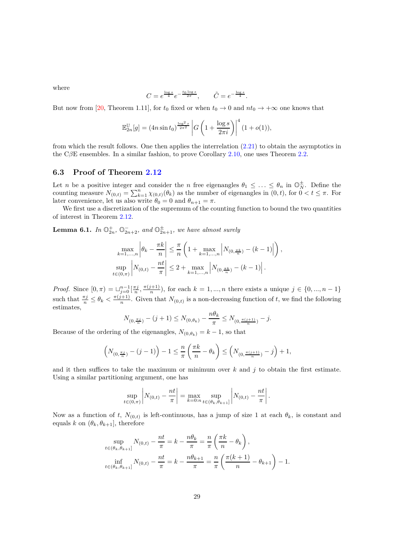where

$$
C = e^{\frac{\log s}{4}} e^{-\frac{t_0 \log s}{2\pi}}, \qquad \tilde{C} = e^{-\frac{\log s}{4}}.
$$

But now from [\[20,](#page-31-8) Theorem 1.11], for  $t_0$  fixed or when  $t_0 \to 0$  and  $nt_0 \to +\infty$  one knows that

$$
\mathbb{E}_{2n}^{\mathbb{U}}[g] = (4n\sin t_0)^{\frac{\log^2 s}{2\pi^2}} \left| G\left(1 + \frac{\log s}{2\pi i}\right) \right|^4 (1 + o(1)),
$$

from which the result follows. One then applies the interrelation [\(2.21\)](#page-8-0) to obtain the asymptotics in the C*β*E ensembles. In a similar fashion, to prove Corollary [2.10,](#page-9-1) one uses Theorem [2.2.](#page-5-1)

#### <span id="page-28-0"></span>**6.3 Proof of Theorem [2.12](#page-10-0)**

Let *n* be a positive integer and consider the *n* free eigenangles  $\theta_1 \leq \ldots \leq \theta_n$  in  $\mathbb{O}_N^{\pm}$ . Define the counting measure  $N_{(0,t)} = \sum_{k=1}^{n} \chi_{(0,t)}(\theta_k)$  as the number of eigenangles in  $(0,t)$ , for  $0 < t \leq \pi$ . For later convenience, let us also write  $\theta_0 = 0$  and  $\theta_{n+1} = \pi$ .

We first use a discretization of the supremum of the counting function to bound the two quantities of interest in Theorem [2.12.](#page-10-0)

<span id="page-28-1"></span>**Lemma 6.1.** *In*  $\mathbb{O}_{2n}^+$ ,  $\mathbb{O}_{2n+2}^-$ , and  $\mathbb{O}_{2n+1}^{\pm}$ , we have almost surely

$$
\max_{k=1,\ldots,n} \left| \theta_k - \frac{\pi k}{n} \right| \leq \frac{\pi}{n} \left( 1 + \max_{k=1,\ldots,n} \left| N_{(0,\frac{\pi k}{n})} - (k-1) \right| \right),
$$
  
\n
$$
\sup_{t \in (0,\pi)} \left| N_{(0,t)} - \frac{nt}{\pi} \right| \leq 2 + \max_{k=1,\ldots,n} \left| N_{(0,\frac{\pi k}{n})} - (k-1) \right|.
$$

*Proof.* Since  $[0, \pi) = \bigcup_{j=0}^{n-1} \left[\frac{\pi j}{n}, \frac{\pi (j+1)}{n}\right]$  $\binom{n+1}{n}$ , for each  $k = 1, ..., n$  there exists a unique  $j \in \{0, ..., n-1\}$ such that  $\frac{\pi j}{n} \leq \theta_k < \frac{\pi (j+1)}{n}$  $\frac{n+1}{n}$ . Given that  $N_{(0,t)}$  is a non-decreasing function of *t*, we find the following estimates,

$$
N_{(0,\frac{\pi j}{n})} - (j+1) \le N_{(0,\theta_k)} - \frac{n\theta_k}{\pi} \le N_{(0,\frac{\pi (j+1)}{n})} - j.
$$

Because of the ordering of the eigenangles,  $N_{(0,\theta_k)} = k - 1$ , so that

$$
\left(N_{(0,\frac{\pi j}{n})}-(j-1)\right)-1\leq \frac{n}{\pi}\left(\frac{\pi k}{n}-\theta_k\right)\leq \left(N_{(0,\frac{\pi (j+1)}{n})}-j\right)+1,
$$

and it then suffices to take the maximum or minimum over  $k$  and  $j$  to obtain the first estimate. Using a similar partitioning argument, one has

$$
\sup_{t \in (0,\pi)} \left| N_{(0,t)} - \frac{nt}{\pi} \right| = \max_{k=0:n} \sup_{t \in (\theta_k, \theta_{k+1}]} \left| N_{(0,t)} - \frac{nt}{\pi} \right|
$$

*.*

Now as a function of *t*,  $N_{(0,t)}$  is left-continuous, has a jump of size 1 at each  $\theta_k$ , is constant and equals *k* on  $(\theta_k, \theta_{k+1}]$ , therefore

$$
\sup_{t \in (\theta_k, \theta_{k+1}]} N_{(0,t)} - \frac{nt}{\pi} = k - \frac{n\theta_k}{\pi} = \frac{n}{\pi} \left( \frac{\pi k}{n} - \theta_k \right),
$$
  

$$
\inf_{t \in (\theta_k, \theta_{k+1}]} N_{(0,t)} - \frac{nt}{\pi} = k - \frac{n\theta_{k+1}}{\pi} = \frac{n}{\pi} \left( \frac{\pi (k+1)}{n} - \theta_{k+1} \right) - 1.
$$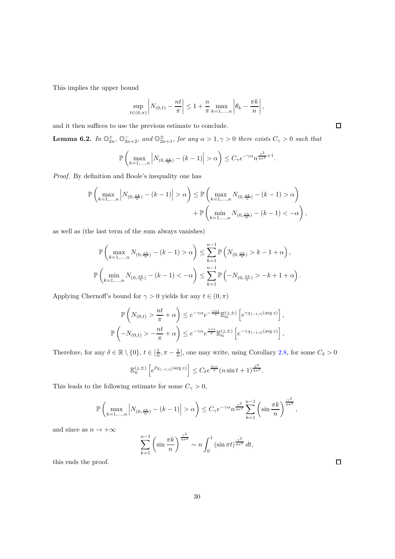This implies the upper bound

$$
\sup_{t \in (0,\pi)} \left| N_{(0,t)} - \frac{nt}{\pi} \right| \leq 1 + \frac{n}{\pi} \max_{k=1,\dots,n} \left| \theta_k - \frac{\pi k}{n} \right|,
$$

and it then suffices to use the previous estimate to conclude.

<span id="page-29-0"></span>**Lemma 6.2.** *In*  $\mathbb{O}_{2n}^+$ ,  $\mathbb{O}_{2n+2}^-$ , and  $\mathbb{O}_{2n+1}^{\pm}$ , for any  $\alpha > 1, \gamma > 0$  there exists  $C_\gamma > 0$  such that

$$
\mathbb{P}\left(\max_{k=1,\ldots,n}\left|N_{(0,\frac{\pi k}{n})}-(k-1)\right|>\alpha\right)\leq C_\gamma e^{-\gamma\alpha}n^{\frac{\gamma^2}{4\pi^2}+1}.
$$

*Proof.* By definition and Boole's inequality one has

$$
\mathbb{P}\left(\max_{k=1,\ldots,n}\left|N_{(0,\frac{\pi k}{n})}-(k-1)\right|>\alpha\right)\leq \mathbb{P}\left(\max_{k=1,\ldots,n}N_{(0,\frac{\pi k}{n})}-(k-1)>\alpha\right)\\+\mathbb{P}\left(\min_{k=1,\ldots,n}N_{(0,\frac{\pi k}{n})}-(k-1)<-\alpha\right),
$$

as well as (the last term of the sum always vanishes)

$$
\mathbb{P}\left(\max_{k=1,\dots,n} N_{(0,\frac{\pi k}{n})} - (k-1) > \alpha\right) \le \sum_{k=1}^{n-1} \mathbb{P}\left(N_{(0,\frac{\pi k}{n})} > k-1+\alpha\right),
$$
  

$$
\mathbb{P}\left(\min_{k=1,\dots,n} N_{(0,\frac{\pi k}{n})} - (k-1) < -\alpha\right) \le \sum_{k=1}^{n-1} \mathbb{P}\left(-N_{(0,\frac{\pi k}{n})} > -k+1+\alpha\right).
$$

Applying Chernoff's bound for  $\gamma > 0$  yields for any  $t \in (0, \pi)$ 

$$
\mathbb{P}\left(N_{(0,t)} > \frac{nt}{\pi} + \alpha\right) \le e^{-\gamma\alpha} e^{-\frac{\gamma nt}{\pi}} \mathbb{E}_n^{(j,\pm)} \left[e^{\gamma \chi_{[-t,t]}(\arg z)}\right],
$$
  

$$
\mathbb{P}\left(-N_{(0,t)} > -\frac{nt}{\pi} + \alpha\right) \le e^{-\gamma\alpha} e^{\frac{\gamma nt}{\pi}} \mathbb{E}_n^{(j,\pm)} \left[e^{-\gamma \chi_{[-t,t]}(\arg z)}\right],
$$

Therefore, for any  $\delta \in \mathbb{R} \setminus \{0\}$ ,  $t \in [\frac{1}{n}, \pi - \frac{1}{n}]$ , one may write, using Corollary [2.8,](#page-9-0) for some  $C_{\delta} > 0$ 

$$
\mathbb{E}_n^{(j,\pm)}\left[e^{\delta \chi_{[-t,t]}(\arg z)}\right] \leq C_\delta e^{\frac{\delta nt}{\pi}} (n \sin t + 1)^{\frac{\delta^2}{4\pi^2}}.
$$

This leads to the following estimate for some  $C_\gamma>0,$ 

$$
\mathbb{P}\left(\max_{k=1,\ldots,n} \left|N_{(0,\frac{\pi k}{n})}-(k-1)\right|>\alpha\right) \leq C_{\gamma}e^{-\gamma\alpha}n^{\frac{\gamma^2}{4\pi^2}}\sum_{k=1}^{n-1} \left(\sin\frac{\pi k}{n}\right)^{\frac{\gamma^2}{4\pi^2}},
$$

and since as  $n\to +\infty$ 

$$
\sum_{k=1}^{n-1} \left( \sin \frac{\pi k}{n} \right)^{\frac{\gamma^2}{4\pi^2}} \sim n \int_0^1 \left( \sin \pi t \right)^{\frac{\gamma^2}{4\pi^2}} dt,
$$

this ends the proof.

 $\Box$ 

 $\Box$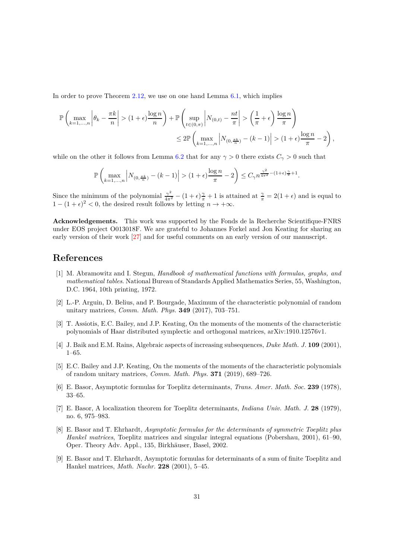In order to prove Theorem [2.12,](#page-10-0) we use on one hand Lemma [6.1,](#page-28-1) which implies

$$
\mathbb{P}\left(\max_{k=1,\ldots,n} \left|\theta_k - \frac{\pi k}{n}\right| > (1+\epsilon)\frac{\log n}{n}\right) + \mathbb{P}\left(\sup_{t\in(0,\pi)} \left|N_{(0,t)} - \frac{nt}{\pi}\right| > \left(\frac{1}{\pi} + \epsilon\right)\frac{\log n}{\pi}\right)
$$
  

$$
\leq 2\mathbb{P}\left(\max_{k=1,\ldots,n} \left|N_{(0,\frac{\pi k}{n})} - (k-1)\right| > (1+\epsilon)\frac{\log n}{\pi} - 2\right),
$$

while on the other it follows from Lemma [6.2](#page-29-0) that for any  $\gamma > 0$  there exists  $C_{\gamma} > 0$  such that

$$
\mathbb{P}\left(\max_{k=1,\ldots,n} \left|N_{(0,\frac{\pi k}{n})}-(k-1)\right|>(1+\epsilon)\frac{\log n}{\pi}-2\right) \leq C_{\gamma}n^{\frac{\gamma^2}{4\pi^2}-(1+\epsilon)\frac{\gamma}{\pi}+1}.
$$

Since the minimum of the polynomial  $\frac{\gamma^2}{4\pi^2} - (1+\epsilon)\frac{\gamma}{\pi} + 1$  is attained at  $\frac{\gamma}{\pi} = 2(1+\epsilon)$  and is equal to  $1 - (1 + \epsilon)^2 < 0$ , the desired result follows by letting  $n \to +\infty$ .

**Acknowledgements.** This work was supported by the Fonds de la Recherche Scientifique-FNRS under EOS project O013018F. We are grateful to Johannes Forkel and Jon Keating for sharing an early version of their work [\[27\]](#page-31-11) and for useful comments on an early version of our manuscript.

## <span id="page-30-8"></span>**References**

- [1] M. Abramowitz and I. Stegun, *Handbook of mathematical functions with formulas, graphs, and mathematical tables*. National Bureau of Standards Applied Mathematics Series, 55, Washington, D.C. 1964, 10th printing, 1972.
- <span id="page-30-5"></span>[2] L.-P. Arguin, D. Belius, and P. Bourgade, Maximum of the characteristic polynomial of random unitary matrices, *Comm. Math. Phys.* **349** (2017), 703–751.
- <span id="page-30-7"></span>[3] T. Assiotis, E.C. Bailey, and J.P. Keating, On the moments of the moments of the characteristic polynomials of Haar distributed symplectic and orthogonal matrices, arXiv:1910.12576v1.
- <span id="page-30-6"></span><span id="page-30-0"></span>[4] J. Baik and E.M. Rains, Algebraic aspects of increasing subsequences, *Duke Math. J.* **109** (2001), 1–65.
- [5] E.C. Bailey and J.P. Keating, On the moments of the moments of the characteristic polynomials of random unitary matrices, *Comm. Math. Phys.* **371** (2019), 689–726.
- <span id="page-30-2"></span><span id="page-30-1"></span>[6] E. Basor, Asymptotic formulas for Toeplitz determinants, *Trans. Amer. Math. Soc.* **239** (1978), 33–65.
- [7] E. Basor, A localization theorem for Toeplitz determinants, *Indiana Univ. Math. J.* **28** (1979), no. 6, 975–983.
- <span id="page-30-3"></span>[8] E. Basor and T. Ehrhardt, *Asymptotic formulas for the determinants of symmetric Toeplitz plus Hankel matrices*, Toeplitz matrices and singular integral equations (Pobershau, 2001), 61–90, Oper. Theory Adv. Appl., 135, Birkhäuser, Basel, 2002.
- <span id="page-30-4"></span>[9] E. Basor and T. Ehrhardt, Asymptotic formulas for determinants of a sum of finite Toeplitz and Hankel matrices, *Math. Nachr.* **228** (2001), 5–45.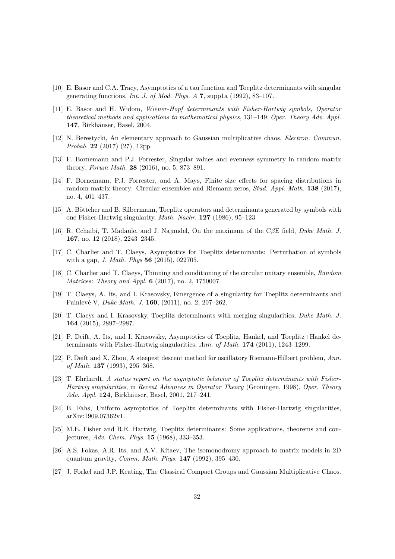- <span id="page-31-10"></span>[10] E. Basor and C.A. Tracy, Asymptotics of a tau function and Toeplitz determinants with singular generating functions, *Int. J. of Mod. Phys. A* **7**, supp1a (1992), 83–107.
- <span id="page-31-1"></span>[11] E. Basor and H. Widom, *Wiener-Hopf determinants with Fisher-Hartwig symbols*, *Operator theoretical methods and applications to mathematical physics*, 131–149, *Oper. Theory Adv. Appl.* 147, Birkhäuser, Basel, 2004.
- <span id="page-31-15"></span>[12] N. Berestycki, An elementary approach to Gaussian multiplicative chaos, *Electron. Commun. Probab.* **22** (2017) (27), 12pp.
- <span id="page-31-12"></span>[13] F. Bornemann and P.J. Forrester, Singular values and evenness symmetry in random matrix theory, *Forum Math.* **28** (2016), no. 5, 873–891.
- <span id="page-31-13"></span>[14] F. Bornemann, P.J. Forrester, and A. Mays, Finite size effects for spacing distributions in random matrix theory: Circular ensembles and Riemann zeros, *Stud. Appl. Math.* **138** (2017), no. 4, 401–437.
- <span id="page-31-2"></span>[15] A. Böttcher and B. Silbermann, Toeplitz operators and determinants generated by symbols with one Fisher-Hartwig singularity, *Math. Nachr.* **127** (1986), 95–123.
- <span id="page-31-14"></span>[16] R. Cchaibi, T. Madaule, and J. Najnudel, On the maximum of the C*β*E field, *Duke Math. J.* **167**, no. 12 (2018), 2243–2345.
- <span id="page-31-7"></span>[17] C. Charlier and T. Claeys, Asymptotics for Toeplitz determinants: Perturbation of symbols with a gap, *J. Math. Phys* **56** (2015), 022705.
- <span id="page-31-6"></span>[18] C. Charlier and T. Claeys, Thinning and conditioning of the circular unitary ensemble, *Random Matrices: Theory and Appl.* **6** (2017), no. 2, 1750007.
- <span id="page-31-5"></span>[19] T. Claeys, A. Its, and I. Krasovsky, Emergence of a singularity for Toeplitz determinants and Painlev´e V, *Duke Math. J.* **160**, (2011), no. 2, 207–262.
- <span id="page-31-8"></span>[20] T. Claeys and I. Krasovsky, Toeplitz determinants with merging singularities, *Duke Math. J.* **164** (2015), 2897–2987.
- <span id="page-31-0"></span>[21] P. Deift, A. Its, and I. Krasovsky, Asymptotics of Toeplitz, Hankel, and Toeplitz+Hankel determinants with Fisher-Hartwig singularities, *Ann. of Math.* **174** (2011), 1243–1299.
- <span id="page-31-17"></span>[22] P. Deift and X. Zhou, A steepest descent method for oscillatory Riemann-Hilbert problem, *Ann. of Math.* **137** (1993), 295–368.
- <span id="page-31-3"></span>[23] T. Ehrhardt, *A status report on the asymptotic behavior of Toeplitz determinants with Fisher-Hartwig singularities*, in *Recent Advances in Operator Theory* (Groningen, 1998), *Oper. Theory Adv. Appl.* **124**, Birkhäuser, Basel, 2001, 217-241.
- <span id="page-31-9"></span><span id="page-31-4"></span>[24] B. Fahs, Uniform asymptotics of Toeplitz determinants with Fisher-Hartwig singularities, arXiv:1909.07362v1.
- [25] M.E. Fisher and R.E. Hartwig, Toeplitz determinants: Some applications, theorems and conjectures, *Adv. Chem. Phys.* **15** (1968), 333–353.
- <span id="page-31-16"></span>[26] A.S. Fokas, A.R. Its, and A.V. Kitaev, The isomonodromy approach to matrix models in 2D quantum gravity, *Comm. Math. Phys.* **147** (1992), 395–430.
- <span id="page-31-11"></span>[27] J. Forkel and J.P. Keating, The Classical Compact Groups and Gaussian Multiplicative Chaos.